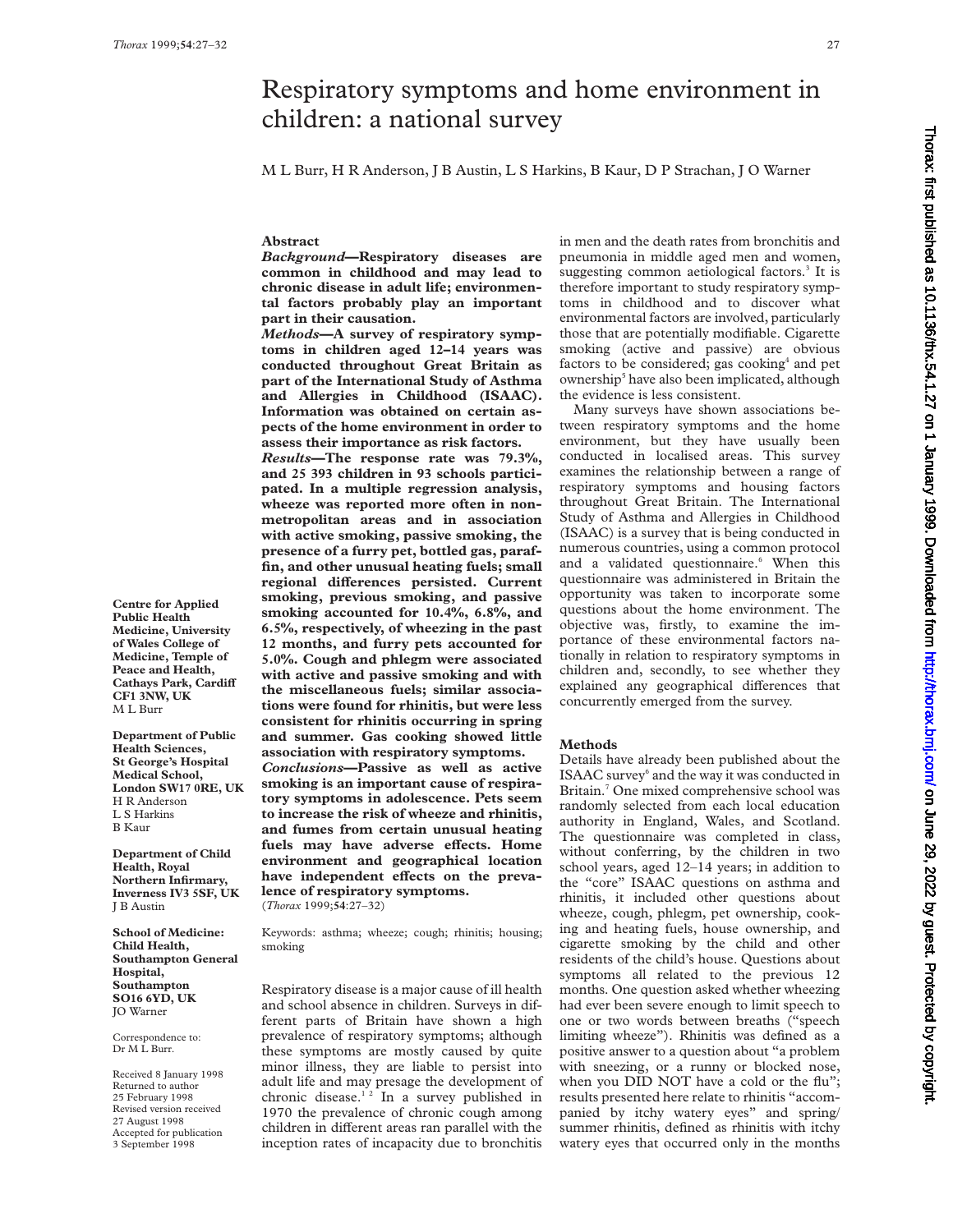## Respiratory symptoms and home environment in children: a national survey

M L Burr, H R Anderson, J B Austin, L S Harkins, B Kaur, D P Strachan, J O Warner

### **Abstract**

*Background***—Respiratory diseases are common in childhood and may lead to chronic disease in adult life; environmental factors probably play an important part in their causation.**

*Methods***—A survey of respiratory symptoms in children aged 12–14 years was conducted throughout Great Britain as part of the International Study of Asthma and Allergies in Childhood (ISAAC). Information was obtained on certain aspects of the home environment in order to assess their importance as risk factors.**

*Results***—The response rate was 79.3%, and 25 393 children in 93 schools participated. In a multiple regression analysis, wheeze was reported more often in nonmetropolitan areas and in association with active smoking, passive smoking, the presence of a furry pet, bottled gas, paraffin, and other unusual heating fuels; small regional diVerences persisted. Current smoking, previous smoking, and passive smoking accounted for 10.4%, 6.8%, and 6.5%, respectively, of wheezing in the past 12 months, and furry pets accounted for 5.0%. Cough and phlegm were associated with active and passive smoking and with the miscellaneous fuels; similar associations were found for rhinitis, but were less consistent for rhinitis occurring in spring and summer. Gas cooking showed little association with respiratory symptoms.** *Conclusions***—Passive as well as active smoking is an important cause of respiratory symptoms in adolescence. Pets seem to increase the risk of wheeze and rhinitis, and fumes from certain unusual heating** fuels may have adverse effects. Home **environment and geographical location** have independent effects on the preva**lence of respiratory symptoms.** (*Thorax* 1999;**54**:27–32)

Keywords: asthma; wheeze; cough; rhinitis; housing; smoking

Respiratory disease is a major cause of ill health and school absence in children. Surveys in different parts of Britain have shown a high prevalence of respiratory symptoms; although these symptoms are mostly caused by quite minor illness, they are liable to persist into adult life and may presage the development of chronic disease.<sup>12</sup> In a survey published in 1970 the prevalence of chronic cough among children in different areas ran parallel with the inception rates of incapacity due to bronchitis

in men and the death rates from bronchitis and pneumonia in middle aged men and women, suggesting common aetiological factors.<sup>3</sup> It is therefore important to study respiratory symptoms in childhood and to discover what environmental factors are involved, particularly those that are potentially modifiable. Cigarette smoking (active and passive) are obvious factors to be considered; gas cooking $4$  and pet ownership<sup>5</sup> have also been implicated, although the evidence is less consistent.

Many surveys have shown associations between respiratory symptoms and the home environment, but they have usually been conducted in localised areas. This survey examines the relationship between a range of respiratory symptoms and housing factors throughout Great Britain. The International Study of Asthma and Allergies in Childhood (ISAAC) is a survey that is being conducted in numerous countries, using a common protocol and a validated questionnaire.<sup>6</sup> When this questionnaire was administered in Britain the opportunity was taken to incorporate some questions about the home environment. The objective was, firstly, to examine the importance of these environmental factors nationally in relation to respiratory symptoms in children and, secondly, to see whether they explained any geographical differences that concurrently emerged from the survey.

#### **Methods**

Details have already been published about the ISAAC survey<sup>6</sup> and the way it was conducted in Britain.<sup>7</sup> One mixed comprehensive school was randomly selected from each local education authority in England, Wales, and Scotland. The questionnaire was completed in class, without conferring, by the children in two school years, aged 12–14 years; in addition to the "core" ISAAC questions on asthma and rhinitis, it included other questions about wheeze, cough, phlegm, pet ownership, cooking and heating fuels, house ownership, and cigarette smoking by the child and other residents of the child's house. Questions about symptoms all related to the previous 12 months. One question asked whether wheezing had ever been severe enough to limit speech to one or two words between breaths ("speech limiting wheeze"). Rhinitis was defined as a positive answer to a question about "a problem with sneezing, or a runny or blocked nose, when you DID NOT have a cold or the flu"; results presented here relate to rhinitis "accompanied by itchy watery eyes" and spring/ summer rhinitis, defined as rhinitis with itchy watery eyes that occurred only in the months

**Centre for Applied Public Health Medicine, University of Wales College of Medicine, Temple of Peace and Health, Cathays Park, Cardiff CF1 3NW, UK** M L Burr

**Department of Public Health Sciences, St George's Hospital Medical School, London SW17 0RE, UK** H R Anderson L S Harkins B Kaur

**Department of Child Health, Royal Northern Infirmary, Inverness IV3 5SF, UK** J B Austin

**School of Medicine: Child Health, Southampton General Hospital, Southampton SO16 6YD, UK** JO Warner

Correspondence to: Dr M L Burr.

Received 8 January 1998 Returned to author 25 February 1998 Revised version received 27 August 1998 Accepted for publication 3 September 1998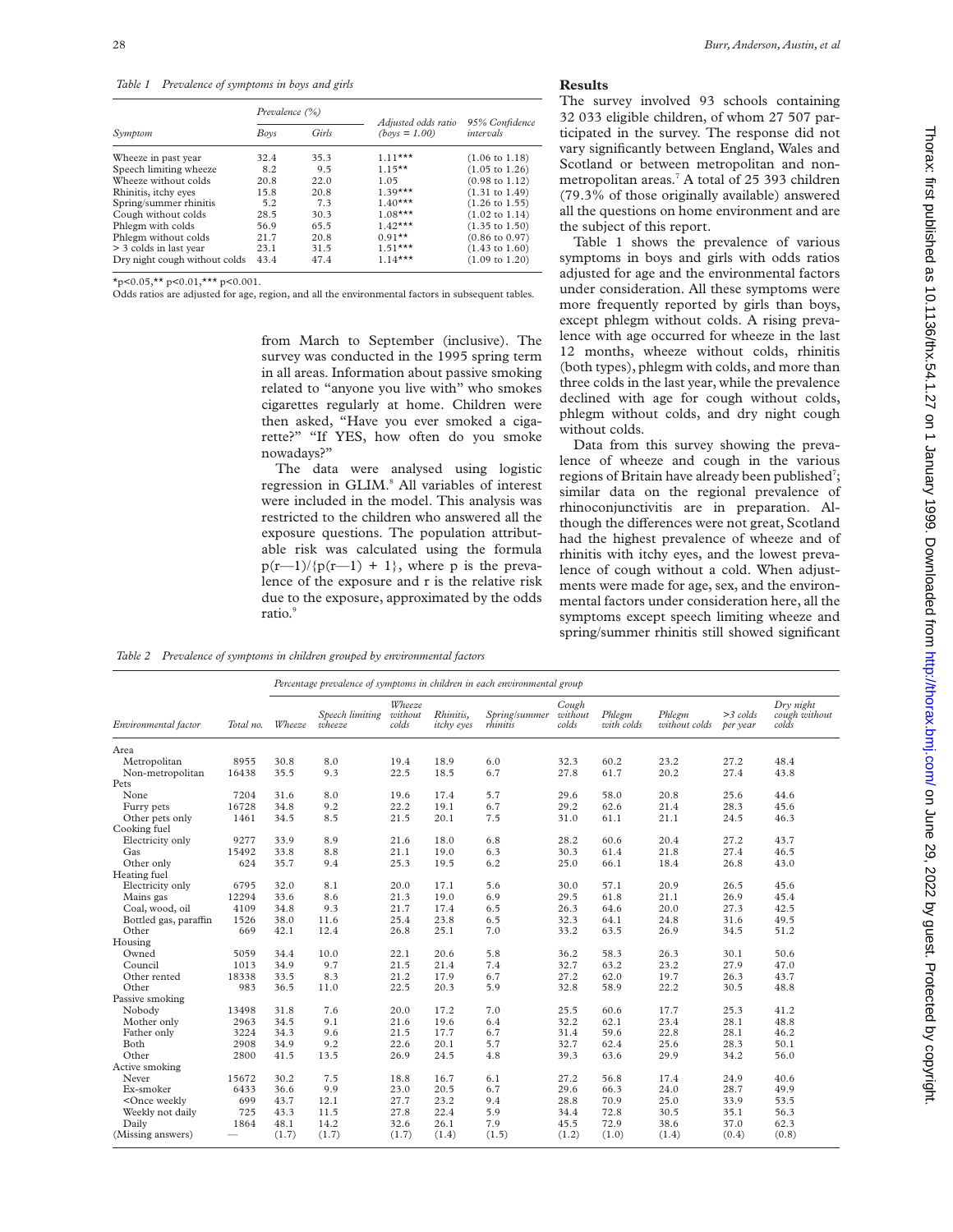*Table 1 Prevalence of symptoms in boys and girls*

|                               | Prevalence (%) |       |                                        |                             |  |
|-------------------------------|----------------|-------|----------------------------------------|-----------------------------|--|
| Symptom                       | Boys           | Girls | Adjusted odds ratio<br>$(bovs = 1.00)$ | 95% Confidence<br>intervals |  |
| Wheeze in past year           | 32.4           | 35.3  | $1.11***$                              | $(1.06 \text{ to } 1.18)$   |  |
| Speech limiting wheeze        | 8.2            | 9.5   | $1.15***$                              | $(1.05 \text{ to } 1.26)$   |  |
| Wheeze without colds          | 20.8           | 22.0  | 1.05                                   | $(0.98 \text{ to } 1.12)$   |  |
| Rhinitis, itchy eyes          | 15.8           | 20.8  | $1.30***$                              | $(1.31 \text{ to } 1.49)$   |  |
| Spring/summer rhinitis        | 5.2            | 7.3   | $1.40***$                              | $(1.26 \text{ to } 1.55)$   |  |
| Cough without colds           | 28.5           | 30.3  | $1.08***$                              | $(1.02 \text{ to } 1.14)$   |  |
| Phlegm with colds             | 56.9           | 65.5  | $1.42***$                              | $(1.35 \text{ to } 1.50)$   |  |
| Phlegm without colds          | 21.7           | 20.8  | $0.91**$                               | $(0.86 \text{ to } 0.97)$   |  |
| > 3 colds in last year        | 23.1           | 31.5  | $1.51***$                              | $(1.43 \text{ to } 1.60)$   |  |
| Dry night cough without colds | 43.4           | 47.4  | $1.14***$                              | $(1.09 \text{ to } 1.20)$   |  |

 $\star$ p<0.05, $\star\star$  p<0.01, $\star\star\star$  p<0.001.

Odds ratios are adjusted for age, region, and all the environmental factors in subsequent tables.

from March to September (inclusive). The survey was conducted in the 1995 spring term in all areas. Information about passive smoking related to "anyone you live with" who smokes cigarettes regularly at home. Children were then asked, "Have you ever smoked a cigarette?" "If YES, how often do you smoke nowadays?"

The data were analysed using logistic regression in GLIM.<sup>8</sup> All variables of interest were included in the model. This analysis was restricted to the children who answered all the exposure questions. The population attributable risk was calculated using the formula  $p(r-1)/{p(r-1) + 1}$ , where p is the prevalence of the exposure and r is the relative risk due to the exposure, approximated by the odds ratio.<sup>9</sup>

#### **Results**

The survey involved 93 schools containing 32 033 eligible children, of whom 27 507 participated in the survey. The response did not vary significantly between England, Wales and Scotland or between metropolitan and nonmetropolitan areas.<sup>7</sup> A total of 25 393 children (79.3% of those originally available) answered all the questions on home environment and are the subject of this report.

Table 1 shows the prevalence of various symptoms in boys and girls with odds ratios adjusted for age and the environmental factors under consideration. All these symptoms were more frequently reported by girls than boys, except phlegm without colds. A rising prevalence with age occurred for wheeze in the last 12 months, wheeze without colds, rhinitis (both types), phlegm with colds, and more than three colds in the last year, while the prevalence declined with age for cough without colds, phlegm without colds, and dry night cough without colds.

Data from this survey showing the prevalence of wheeze and cough in the various regions of Britain have already been published<sup>7</sup>; similar data on the regional prevalence of rhinoconjunctivitis are in preparation. Although the differences were not great, Scotland had the highest prevalence of wheeze and of rhinitis with itchy eyes, and the lowest prevalence of cough without a cold. When adjustments were made for age, sex, and the environmental factors under consideration here, all the symptoms except speech limiting wheeze and spring/summer rhinitis still showed significant

*Table 2 Prevalence of symptoms in children grouped by environmental factors*

|                                                                                                                                                                             |           | Percentage prevalence of symptoms in children in each environmental group |                            |                            |                                |                           |                           |                      |                         |                        |                                     |
|-----------------------------------------------------------------------------------------------------------------------------------------------------------------------------|-----------|---------------------------------------------------------------------------|----------------------------|----------------------------|--------------------------------|---------------------------|---------------------------|----------------------|-------------------------|------------------------|-------------------------------------|
| Environmental factor                                                                                                                                                        | Total no. | Wheeze                                                                    | Speech limiting<br>whereze | Wheeze<br>without<br>colds | Rhinitis.<br><i>itchy</i> eyes | Spring/summer<br>rhinitis | Cough<br>without<br>colds | Phlegm<br>with colds | Phlegm<br>without colds | $>3$ colds<br>per year | Dry night<br>cough without<br>colds |
| Area                                                                                                                                                                        |           |                                                                           |                            |                            |                                |                           |                           |                      |                         |                        |                                     |
| Metropolitan                                                                                                                                                                | 8955      | 30.8                                                                      | 8.0                        | 19.4                       | 18.9                           | 6.0                       | 32.3                      | 60.2                 | 23.2                    | 27.2                   | 48.4                                |
| Non-metropolitan                                                                                                                                                            | 16438     | 35.5                                                                      | 9.3                        | 22.5                       | 18.5                           | 6.7                       | 27.8                      | 61.7                 | 20.2                    | 27.4                   | 43.8                                |
| Pets                                                                                                                                                                        |           |                                                                           |                            |                            |                                |                           |                           |                      |                         |                        |                                     |
| None                                                                                                                                                                        | 7204      | 31.6                                                                      | 8.0                        | 19.6                       | 17.4                           | 5.7                       | 29.6                      | 58.0                 | 20.8                    | 25.6                   | 44.6                                |
| Furry pets                                                                                                                                                                  | 16728     | 34.8                                                                      | 9.2                        | 22.2                       | 19.1                           | 6.7                       | 29.2                      | 62.6                 | 21.4                    | 28.3                   | 45.6                                |
| Other pets only                                                                                                                                                             | 1461      | 34.5                                                                      | 8.5                        | 21.5                       | 20.1                           | 7.5                       | 31.0                      | 61.1                 | 21.1                    | 24.5                   | 46.3                                |
| Cooking fuel                                                                                                                                                                |           |                                                                           |                            |                            |                                |                           |                           |                      |                         |                        |                                     |
| Electricity only                                                                                                                                                            | 9277      | 33.9                                                                      | 8.9                        | 21.6                       | 18.0                           | 6.8                       | 28.2                      | 60.6                 | 20.4                    | 27.2                   | 43.7                                |
| Gas                                                                                                                                                                         | 15492     | 33.8                                                                      | 8.8                        | 21.1                       | 19.0                           | 6.3                       | 30.3                      | 61.4                 | 21.8                    | 27.4                   | 46.5                                |
| Other only                                                                                                                                                                  | 624       | 35.7                                                                      | 9.4                        | 25.3                       | 19.5                           | 6.2                       | 25.0                      | 66.1                 | 18.4                    | 26.8                   | 43.0                                |
| Heating fuel                                                                                                                                                                |           |                                                                           |                            |                            |                                |                           |                           |                      |                         |                        |                                     |
| Electricity only                                                                                                                                                            | 6795      | 32.0                                                                      | 8.1                        | 20.0                       | 17.1                           | 5.6                       | 30.0                      | 57.1                 | 20.9                    | 26.5                   | 45.6                                |
| Mains gas                                                                                                                                                                   | 12294     | 33.6                                                                      | 8.6                        | 21.3                       | 19.0                           | 6.9                       | 29.5                      | 61.8                 | 21.1                    | 26.9                   | 45.4                                |
| Coal, wood, oil                                                                                                                                                             | 4109      | 34.8                                                                      | 9.3                        | 21.7                       | 17.4                           | 6.5                       | 26.3                      | 64.6                 | 20.0                    | 27.3                   | 42.5                                |
| Bottled gas, paraffin                                                                                                                                                       | 1526      | 38.0                                                                      | 11.6                       | 25.4                       | 23.8                           | 6.5                       | 32.3                      | 64.1                 | 24.8                    | 31.6                   | 49.5                                |
| Other                                                                                                                                                                       | 669       | 42.1                                                                      | 12.4                       | 26.8                       | 25.1                           | 7.0                       | 33.2                      | 63.5                 | 26.9                    | 34.5                   | 51.2                                |
| Housing                                                                                                                                                                     |           |                                                                           |                            |                            |                                |                           |                           |                      |                         |                        |                                     |
| Owned                                                                                                                                                                       | 5059      | 34.4                                                                      | 10.0                       | 22.1                       | 20.6                           | 5.8                       | 36.2                      | 58.3                 | 26.3                    | 30.1                   | 50.6                                |
| Council                                                                                                                                                                     | 1013      | 34.9                                                                      | 9.7                        | 21.5                       | 21.4                           | 7.4                       | 32.7                      | 63.2                 | 23.2                    | 27.9                   | 47.0                                |
| Other rented                                                                                                                                                                | 18338     | 33.5                                                                      | 8.3                        | 21.2                       | 17.9                           | 6.7                       | 27.2                      | 62.0                 | 19.7                    | 26.3                   | 43.7                                |
| Other                                                                                                                                                                       | 983       | 36.5                                                                      | 11.0                       | 22.5                       | 20.3                           | 5.9                       | 32.8                      | 58.9                 | 22.2                    | 30.5                   | 48.8                                |
| Passive smoking                                                                                                                                                             |           |                                                                           |                            |                            |                                |                           |                           |                      |                         |                        |                                     |
| Nobody                                                                                                                                                                      | 13498     | 31.8                                                                      | 7.6                        | 20.0                       | 17.2                           | 7.0                       | 25.5                      | 60.6                 | 17.7                    | 25.3                   | 41.2                                |
| Mother only                                                                                                                                                                 | 2963      | 34.5                                                                      | 9.1                        | 21.6                       | 19.6                           | 6.4                       | 32.2                      | 62.1                 | 23.4                    | 28.1                   | 48.8                                |
| Father only                                                                                                                                                                 | 3224      | 34.3                                                                      | 9.6                        | 21.5                       | 17.7                           | 6.7                       | 31.4                      | 59.6                 | 22.8                    | 28.1                   | 46.2                                |
| Both                                                                                                                                                                        | 2908      | 34.9                                                                      | 9.2                        | 22.6                       | 20.1                           | 5.7                       | 32.7                      | 62.4                 | 25.6                    | 28.3                   | 50.1                                |
| Other                                                                                                                                                                       | 2800      | 41.5                                                                      | 13.5                       | 26.9                       | 24.5                           | 4.8                       | 39.3                      | 63.6                 | 29.9                    | 34.2                   | 56.0                                |
| Active smoking                                                                                                                                                              |           |                                                                           |                            |                            |                                |                           |                           |                      |                         |                        |                                     |
| Never                                                                                                                                                                       | 15672     | 30.2                                                                      | 7.5                        | 18.8                       | 16.7                           | 6.1                       | 27.2                      | 56.8                 | 17.4                    | 24.9                   | 40.6                                |
| Ex-smoker                                                                                                                                                                   | 6433      | 36.6                                                                      | 9.9                        | 23.0                       | 20.5                           | 6.7                       | 29.6                      | 66.3                 | 24.0                    | 28.7                   | 49.9                                |
| <once td="" weekly<=""><td>699</td><td>43.7</td><td>12.1</td><td>27.7</td><td>23.2</td><td>9.4</td><td>28.8</td><td>70.9</td><td>25.0</td><td>33.9</td><td>53.5</td></once> | 699       | 43.7                                                                      | 12.1                       | 27.7                       | 23.2                           | 9.4                       | 28.8                      | 70.9                 | 25.0                    | 33.9                   | 53.5                                |
| Weekly not daily                                                                                                                                                            | 725       | 43.3                                                                      | 11.5                       | 27.8                       | 22.4                           | 5.9                       | 34.4                      | 72.8                 | 30.5                    | 35.1                   | 56.3                                |
| Daily                                                                                                                                                                       | 1864      | 48.1                                                                      | 14.2                       | 32.6                       | 26.1                           | 7.9                       | 45.5                      | 72.9                 | 38.6                    | 37.0                   | 62.3                                |
| (Missing answers)                                                                                                                                                           |           | (1.7)                                                                     | (1.7)                      | (1.7)                      | (1.4)                          | (1.5)                     | (1.2)                     | (1.0)                | (1.4)                   | (0.4)                  | (0.8)                               |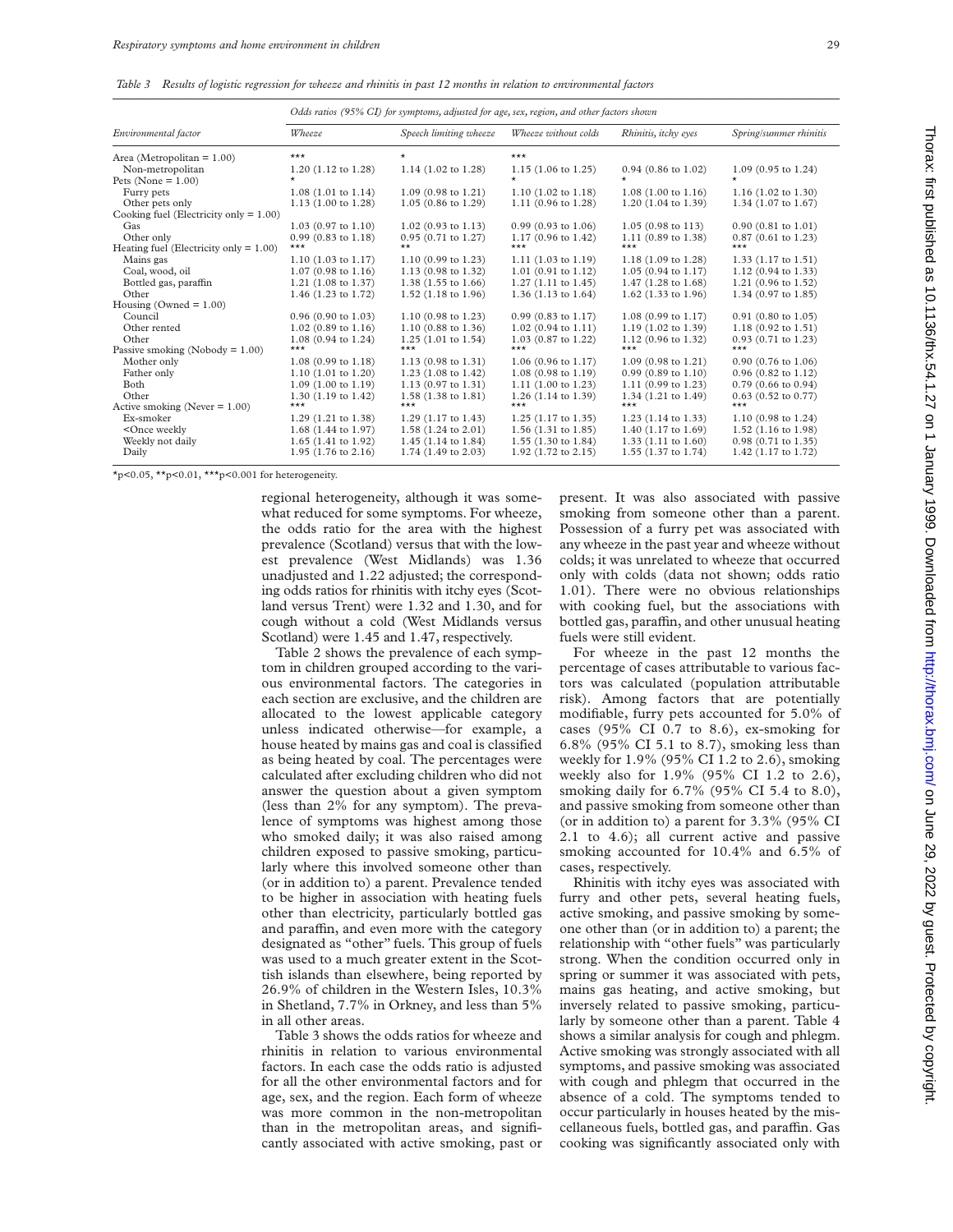*Table 3 Results of logistic regression for wheeze and rhinitis in past 12 months in relation to environmental factors*

|                                                                                                                                                                                                                                                                                  | Odds ratios (95% CI) for symptoms, adjusted for age, sex, region, and other factors shown |                                |                               |                                |                               |  |  |  |  |
|----------------------------------------------------------------------------------------------------------------------------------------------------------------------------------------------------------------------------------------------------------------------------------|-------------------------------------------------------------------------------------------|--------------------------------|-------------------------------|--------------------------------|-------------------------------|--|--|--|--|
| Environmental factor                                                                                                                                                                                                                                                             | Wheeze                                                                                    | Speech limiting wheeze         | Wheeze without colds          | Rhinitis, itchy eyes           | Spring/summer rhinitis        |  |  |  |  |
| Area (Metropolitan = $1.00$ )                                                                                                                                                                                                                                                    | $***$                                                                                     | $\star$                        | $***$                         |                                |                               |  |  |  |  |
| Non-metropolitan                                                                                                                                                                                                                                                                 | $1.20$ (1.12 to 1.28)                                                                     | $1.14$ (1.02 to 1.28)          | $1.15(1.06 \text{ to } 1.25)$ | $0.94$ (0.86 to 1.02)          | $1.09$ (0.95 to 1.24)         |  |  |  |  |
| Pets (None = $1.00$ )                                                                                                                                                                                                                                                            |                                                                                           |                                |                               |                                |                               |  |  |  |  |
| Furry pets                                                                                                                                                                                                                                                                       | $1.08(1.01 \text{ to } 1.14)$                                                             | $1.09$ (0.98 to 1.21)          | $1.10(1.02 \text{ to } 1.18)$ | $1.08(1.00 \text{ to } 1.16)$  | $1.16(1.02 \text{ to } 1.30)$ |  |  |  |  |
| Other pets only                                                                                                                                                                                                                                                                  | $1.13(1.00 \text{ to } 1.28)$                                                             | $1.05(0.86 \text{ to } 1.29)$  | $1.11(0.96 \text{ to } 1.28)$ | $1.20(1.04 \text{ to } 1.39)$  | 1.34 (1.07 to 1.67)           |  |  |  |  |
| Cooking fuel (Electricity only $= 1.00$ )                                                                                                                                                                                                                                        |                                                                                           |                                |                               |                                |                               |  |  |  |  |
| Gas                                                                                                                                                                                                                                                                              | $1.03$ (0.97 to 1.10)                                                                     | $1.02$ (0.93 to 1.13)          | $0.99(0.93 \text{ to } 1.06)$ | $1.05(0.98 \text{ to } 113)$   | $0.90(0.81 \text{ to } 1.01)$ |  |  |  |  |
| Other only                                                                                                                                                                                                                                                                       | $0.99(0.83 \text{ to } 1.18)$                                                             | $0.95$ (0.71 to 1.27)          | $1.17(0.96 \text{ to } 1.42)$ | 1.11 (0.89 to 1.38)            | $0.87(0.61 \text{ to } 1.23)$ |  |  |  |  |
| Heating fuel (Electricity only $= 1.00$ )                                                                                                                                                                                                                                        | ***                                                                                       | $***$                          | $***$                         | $***$                          | $***$                         |  |  |  |  |
| Mains gas                                                                                                                                                                                                                                                                        | $1.10(1.03 \text{ to } 1.17)$                                                             | 1.10 (0.99 to 1.23)            | $1.11(1.03 \text{ to } 1.19)$ | 1.18 (1.09 to 1.28)            | $1.33(1.17 \text{ to } 1.51)$ |  |  |  |  |
| Coal, wood, oil                                                                                                                                                                                                                                                                  | $1.07(0.98 \text{ to } 1.16)$                                                             | 1.13 (0.98 to 1.32)            | $1.01$ (0.91 to 1.12)         | $1.05(0.94 \text{ to } 1.17)$  | 1.12 (0.94 to 1.33)           |  |  |  |  |
| Bottled gas, paraffin                                                                                                                                                                                                                                                            | $1.21$ (1.08 to 1.37)                                                                     | $1.38(1.55 \text{ to } 1.66)$  | $1.27$ (1.11 to 1.45)         | 1.47 $(1.28 \text{ to } 1.68)$ | $1.21$ (0.96 to 1.52)         |  |  |  |  |
| Other                                                                                                                                                                                                                                                                            | 1.46 (1.23 to 1.72)                                                                       | $1.52$ (1.18 to 1.96)          | $1.36$ (1.13 to 1.64)         | 1.62 $(1.33 \text{ to } 1.96)$ | 1.34 (0.97 to 1.85)           |  |  |  |  |
| Housing (Owned $= 1.00$ )                                                                                                                                                                                                                                                        |                                                                                           |                                |                               |                                |                               |  |  |  |  |
| Council                                                                                                                                                                                                                                                                          | $0.96$ (0.90 to 1.03)                                                                     | 1.10 (0.98 to 1.23)            | $0.99$ (0.83 to 1.17)         | $1.08$ (0.99 to 1.17)          | $0.91$ (0.80 to 1.05)         |  |  |  |  |
| Other rented                                                                                                                                                                                                                                                                     | $1.02(0.89 \text{ to } 1.16)$                                                             | $1.10(0.88 \text{ to } 1.36)$  | $1.02(0.94 \text{ to } 1.11)$ | $1.19(1.02 \text{ to } 1.39)$  | $1.18$ (0.92 to 1.51)         |  |  |  |  |
| Other                                                                                                                                                                                                                                                                            | 1.08 (0.94 to 1.24)                                                                       | $1.25(1.01 \text{ to } 1.54)$  | 1.03 (0.87 to 1.22)           | 1.12 (0.96 to 1.32)            | $0.93$ (0.71 to 1.23)         |  |  |  |  |
| Passive smoking (Nobody = $1.00$ )                                                                                                                                                                                                                                               | $***$                                                                                     | $***$                          | $***$                         | $***$                          | $***$                         |  |  |  |  |
| Mother only                                                                                                                                                                                                                                                                      | $1.08$ (0.99 to 1.18)                                                                     | $1.13(0.98 \text{ to } 1.31)$  | $1.06$ (0.96 to 1.17)         | $1.09$ (0.98 to 1.21)          | $0.90$ (0.76 to 1.06)         |  |  |  |  |
| Father only                                                                                                                                                                                                                                                                      | $1.10$ (1.01 to 1.20)                                                                     | $1.23$ (1.08 to 1.42)          | $1.08(0.98 \text{ to } 1.19)$ | $0.99(0.89)$ to $1.10$         | $0.96$ (0.82 to 1.12)         |  |  |  |  |
| Both                                                                                                                                                                                                                                                                             | $1.09$ (1.00 to 1.19)                                                                     | 1.13 (0.97 to 1.31)            | $1.11(1.00 \text{ to } 1.23)$ | 1.11 (0.99 to 1.23)            | $0.79$ (0.66 to 0.94)         |  |  |  |  |
| Other                                                                                                                                                                                                                                                                            | 1.30 $(1.19 \text{ to } 1.42)$                                                            | 1.58 $(1.38 \text{ to } 1.81)$ | $1.26$ (1.14 to 1.39)         | $1.34$ (1.21 to 1.49)          | $0.63$ (0.52 to 0.77)         |  |  |  |  |
| Active smoking (Never $= 1.00$ )                                                                                                                                                                                                                                                 | $***$                                                                                     | $***$                          | $***$                         | $***$                          | $***$                         |  |  |  |  |
| Ex-smoker                                                                                                                                                                                                                                                                        | $1.29$ (1.21 to 1.38)                                                                     | $1.29$ (1.17 to 1.43)          | $1.25$ (1.17 to 1.35)         | $1.23$ (1.14 to 1.33)          | $1.10(0.98 \text{ to } 1.24)$ |  |  |  |  |
| <once td="" weekly<=""><td><math>1.68</math> <math>(1.44</math> to <math>1.97)</math></td><td>1.58 (1.24 to 2.01)</td><td><math>1.56(1.31 \text{ to } 1.85)</math></td><td><math>1.40(1.17 \text{ to } 1.69)</math></td><td><math>1.52(1.16 \text{ to } 1.98)</math></td></once> | $1.68$ $(1.44$ to $1.97)$                                                                 | 1.58 (1.24 to 2.01)            | $1.56(1.31 \text{ to } 1.85)$ | $1.40(1.17 \text{ to } 1.69)$  | $1.52(1.16 \text{ to } 1.98)$ |  |  |  |  |
| Weekly not daily                                                                                                                                                                                                                                                                 | $1.65$ (1.41 to 1.92)                                                                     | $1.45$ (1.14 to 1.84)          | $1.55(1.30 \text{ to } 1.84)$ | $1.33$ (1.11 to 1.60)          | 0.98 (0.71 to 1.35)           |  |  |  |  |
| Daily                                                                                                                                                                                                                                                                            | 1.95 (1.76 to 2.16)                                                                       | 1.74 (1.49 to 2.03)            | $1.92$ (1.72 to 2.15)         | 1.55 (1.37 to 1.74)            | 1.42 (1.17 to 1.72)           |  |  |  |  |

 $*_p$ <0.05,  $**_p$ <0.01,  $**_p$ <0.001 for heterogeneity.

regional heterogeneity, although it was somewhat reduced for some symptoms. For wheeze, the odds ratio for the area with the highest prevalence (Scotland) versus that with the lowest prevalence (West Midlands) was 1.36 unadjusted and 1.22 adjusted; the corresponding odds ratios for rhinitis with itchy eyes (Scotland versus Trent) were 1.32 and 1.30, and for cough without a cold (West Midlands versus Scotland) were 1.45 and 1.47, respectively.

Table 2 shows the prevalence of each symptom in children grouped according to the various environmental factors. The categories in each section are exclusive, and the children are allocated to the lowest applicable category unless indicated otherwise—for example, a house heated by mains gas and coal is classified as being heated by coal. The percentages were calculated after excluding children who did not answer the question about a given symptom (less than 2% for any symptom). The prevalence of symptoms was highest among those who smoked daily; it was also raised among children exposed to passive smoking, particularly where this involved someone other than (or in addition to) a parent. Prevalence tended to be higher in association with heating fuels other than electricity, particularly bottled gas and paraffin, and even more with the category designated as "other" fuels. This group of fuels was used to a much greater extent in the Scottish islands than elsewhere, being reported by 26.9% of children in the Western Isles, 10.3% in Shetland, 7.7% in Orkney, and less than 5% in all other areas.

Table 3 shows the odds ratios for wheeze and rhinitis in relation to various environmental factors. In each case the odds ratio is adjusted for all the other environmental factors and for age, sex, and the region. Each form of wheeze was more common in the non-metropolitan than in the metropolitan areas, and significantly associated with active smoking, past or present. It was also associated with passive smoking from someone other than a parent. Possession of a furry pet was associated with any wheeze in the past year and wheeze without colds; it was unrelated to wheeze that occurred only with colds (data not shown; odds ratio 1.01). There were no obvious relationships with cooking fuel, but the associations with bottled gas, paraffin, and other unusual heating fuels were still evident.

For wheeze in the past 12 months the percentage of cases attributable to various factors was calculated (population attributable risk). Among factors that are potentially modifiable, furry pets accounted for 5.0% of cases (95% CI 0.7 to 8.6), ex-smoking for 6.8% (95% CI 5.1 to 8.7), smoking less than weekly for 1.9% (95% CI 1.2 to 2.6), smoking weekly also for 1.9% (95% CI 1.2 to 2.6), smoking daily for 6.7% (95% CI 5.4 to 8.0), and passive smoking from someone other than (or in addition to) a parent for 3.3% (95% CI 2.1 to 4.6); all current active and passive smoking accounted for 10.4% and 6.5% of cases, respectively.

Rhinitis with itchy eyes was associated with furry and other pets, several heating fuels, active smoking, and passive smoking by someone other than (or in addition to) a parent; the relationship with "other fuels" was particularly strong. When the condition occurred only in spring or summer it was associated with pets, mains gas heating, and active smoking, but inversely related to passive smoking, particularly by someone other than a parent. Table 4 shows a similar analysis for cough and phlegm. Active smoking was strongly associated with all symptoms, and passive smoking was associated with cough and phlegm that occurred in the absence of a cold. The symptoms tended to occur particularly in houses heated by the miscellaneous fuels, bottled gas, and paraffin. Gas cooking was significantly associated only with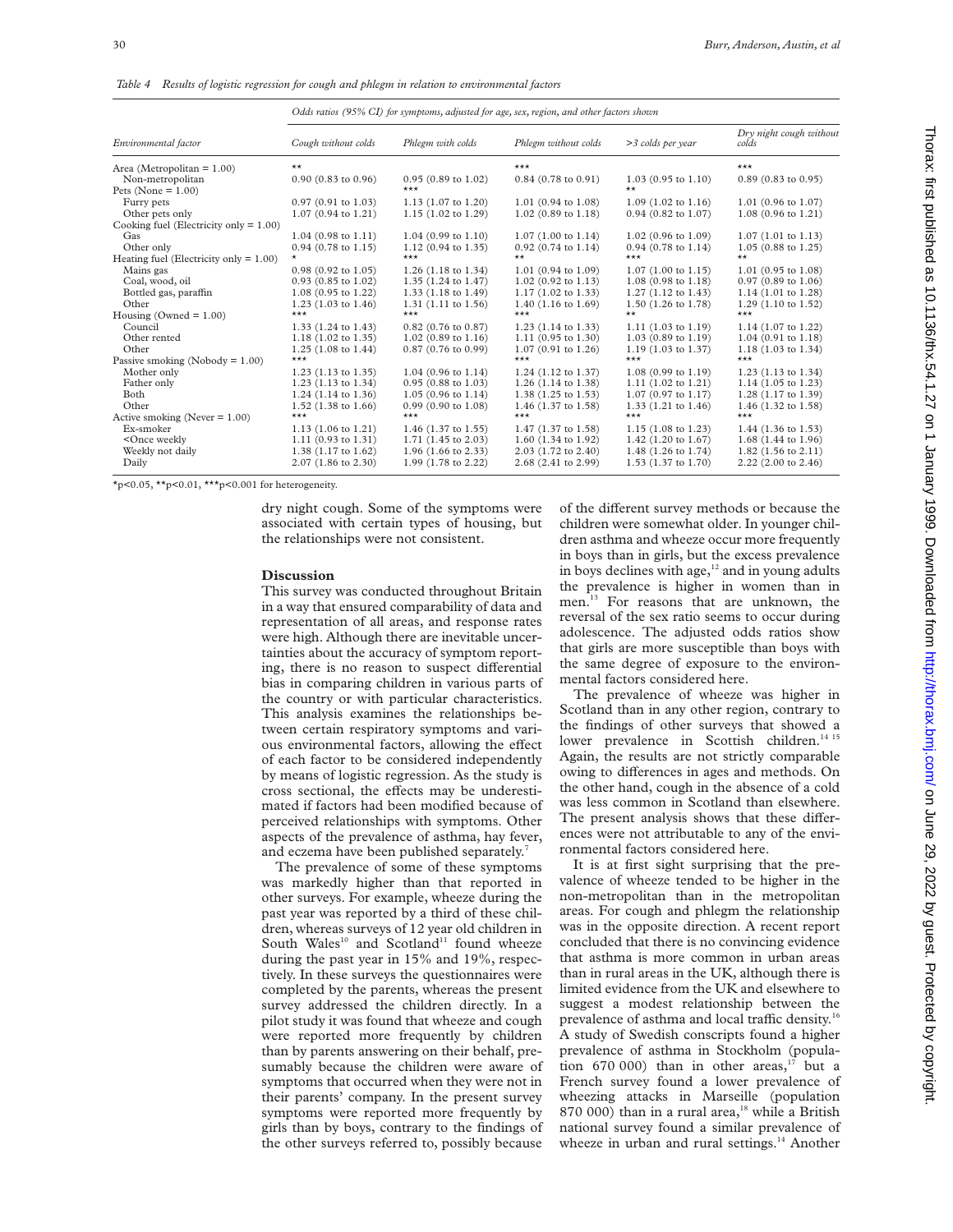*Table 4 Results of logistic regression for cough and phlegm in relation to environmental factors*

|                                                                                                                                                                                                                                         | Odds ratios (95% CI) for symptoms, adjusted for age, sex, region, and other factors shown |                               |                               |                               |                                  |  |  |  |
|-----------------------------------------------------------------------------------------------------------------------------------------------------------------------------------------------------------------------------------------|-------------------------------------------------------------------------------------------|-------------------------------|-------------------------------|-------------------------------|----------------------------------|--|--|--|
| Environmental factor                                                                                                                                                                                                                    | Cough without colds                                                                       | Phlegm with colds             | Phlegm without colds          | >3 colds per year             | Dry night cough without<br>colds |  |  |  |
| Area (Metropolitan $= 1.00$ )                                                                                                                                                                                                           | $***$                                                                                     |                               | $***$                         |                               | $***$                            |  |  |  |
| Non-metropolitan                                                                                                                                                                                                                        | $0.90$ (0.83 to 0.96)                                                                     | $0.95(0.89 \text{ to } 1.02)$ | $0.84$ (0.78 to 0.91)         | $1.03$ (0.95 to $1.10$ )      | $0.89$ (0.83 to 0.95)            |  |  |  |
| Pets (None = $1.00$ )                                                                                                                                                                                                                   |                                                                                           | $***$                         |                               | $***$                         |                                  |  |  |  |
| Furry pets                                                                                                                                                                                                                              | $0.97(0.91 \text{ to } 1.03)$                                                             | 1.13 (1.07 to 1.20)           | $1.01$ (0.94 to 1.08)         | $1.09(1.02 \text{ to } 1.16)$ | $1.01$ (0.96 to 1.07)            |  |  |  |
| Other pets only                                                                                                                                                                                                                         | $1.07(0.94 \text{ to } 1.21)$                                                             | $1.15(1.02 \text{ to } 1.29)$ | $1.02$ (0.89 to 1.18)         | $0.94$ (0.82 to 1.07)         | $1.08$ (0.96 to 1.21)            |  |  |  |
| Cooking fuel (Electricity only = $1.00$ )                                                                                                                                                                                               |                                                                                           |                               |                               |                               |                                  |  |  |  |
| Gas                                                                                                                                                                                                                                     | $1.04$ (0.98 to 1.11)                                                                     | $1.04$ (0.99 to 1.10)         | $1.07(1.00 \text{ to } 1.14)$ | $1.02$ (0.96 to 1.09)         | $1.07$ (1.01 to 1.13)            |  |  |  |
| Other only                                                                                                                                                                                                                              | $0.94$ (0.78 to 1.15)                                                                     | $1.12(0.94 \text{ to } 1.35)$ | $0.92$ (0.74 to 1.14)         | $0.94$ (0.78 to 1.14)         | $1.05$ (0.88 to 1.25)            |  |  |  |
| Heating fuel (Electricity only = $1.00$ )                                                                                                                                                                                               |                                                                                           | $***$                         | $***$                         | $***$                         | $**$                             |  |  |  |
| Mains gas                                                                                                                                                                                                                               | $0.98$ (0.92 to 1.05)                                                                     | $1.26$ (1.18 to 1.34)         | $1.01$ (0.94 to 1.09)         | $1.07(1.00 \text{ to } 1.15)$ | 1.01 (0.95 to 1.08)              |  |  |  |
| Coal, wood, oil                                                                                                                                                                                                                         | $0.93$ (0.85 to 1.02)                                                                     | $1.35(1.24 \text{ to } 1.47)$ | $1.02(0.92 \text{ to } 1.13)$ | $1.08$ (0.98 to 1.18)         | $0.97(0.89)$ to $1.06$           |  |  |  |
| Bottled gas, paraffin                                                                                                                                                                                                                   | 1.08 (0.95 to 1.22)                                                                       | $1.33(1.18 \text{ to } 1.49)$ | $1.17(1.02 \text{ to } 1.33)$ | $1.27(1.12 \text{ to } 1.43)$ | $1.14$ (1.01 to 1.28)            |  |  |  |
| Other                                                                                                                                                                                                                                   | 1.23 $(1.03 \text{ to } 1.46)$                                                            | $1.31$ (1.11 to 1.56)         | $1.40$ (1.16 to 1.69)         | 1.50 (1.26 to 1.78)           | 1.29 $(1.10 \text{ to } 1.52)$   |  |  |  |
| Housing (Owned $= 1.00$ )                                                                                                                                                                                                               | ***                                                                                       | $***$                         | $***$                         | $\star\star$                  | $***$                            |  |  |  |
| Council                                                                                                                                                                                                                                 | 1.33 (1.24 to 1.43)                                                                       | $0.82$ (0.76 to 0.87)         | $1.23$ (1.14 to 1.33)         | $1.11(1.03 \text{ to } 1.19)$ | 1.14 (1.07 to 1.22)              |  |  |  |
| Other rented                                                                                                                                                                                                                            | 1.18 (1.02 to 1.35)                                                                       | $1.02$ (0.89 to 1.16)         | $1.11$ (0.95 to 1.30)         | $1.03$ (0.89 to 1.19)         | $1.04$ (0.91 to 1.18)            |  |  |  |
| Other                                                                                                                                                                                                                                   | 1.25 (1.08 to 1.44)                                                                       | $0.87(0.76 \text{ to } 0.99)$ | $1.07(0.91)$ to $1.26$ )      | $1.19(1.03 \text{ to } 1.37)$ | $1.18(1.03 \text{ to } 1.34)$    |  |  |  |
| Passive smoking (Nobody = $1.00$ )                                                                                                                                                                                                      | ***                                                                                       |                               | $***$                         | $***$                         | $***$                            |  |  |  |
| Mother only                                                                                                                                                                                                                             | $1.23$ (1.13 to 1.35)                                                                     | $1.04$ (0.96 to 1.14)         | $1.24$ (1.12 to 1.37)         | $1.08(0.99 \text{ to } 1.19)$ | 1.23 (1.13 to 1.34)              |  |  |  |
| Father only                                                                                                                                                                                                                             | $1.23$ (1.13 to 1.34)                                                                     | $0.95(0.88 \text{ to } 1.03)$ | $1.26$ (1.14 to 1.38)         | $1.11(1.02 \text{ to } 1.21)$ | $1.14$ (1.05 to 1.23)            |  |  |  |
| Both                                                                                                                                                                                                                                    | $1.24$ (1.14 to 1.36)                                                                     | $1.05(0.96 \text{ to } 1.14)$ | 1.38 (1.25 to 1.53)           | $1.07$ (0.97 to 1.17)         | 1.28 (1.17 to 1.39)              |  |  |  |
| Other                                                                                                                                                                                                                                   | 1.52 (1.38 to 1.66)                                                                       | $0.99$ (0.90 to 1.08)         | 1.46 (1.37 to 1.58)           | $1.33$ (1.21 to 1.46)         | 1.46 (1.32 to 1.58)              |  |  |  |
| Active smoking (Never $= 1.00$ )                                                                                                                                                                                                        | $***$                                                                                     | $***$                         | $***$                         | $***$                         | $***$                            |  |  |  |
| Ex-smoker                                                                                                                                                                                                                               | $1.13(1.06 \text{ to } 1.21)$                                                             | $1.46$ (1.37 to 1.55)         | 1.47 (1.37 to 1.58)           | $1.15(1.08 \text{ to } 1.23)$ | 1.44 (1.36 to 1.53)              |  |  |  |
| <once td="" weekly<=""><td><math>1.11</math> (0.93 to 1.31)</td><td>1.71 (1.45 to 2.03)</td><td><math>1.60</math> (1.34 to 1.92)</td><td><math>1.42</math> (1.20 to 1.67)</td><td>1.68 <math>(1.44 \text{ to } 1.96)</math></td></once> | $1.11$ (0.93 to 1.31)                                                                     | 1.71 (1.45 to 2.03)           | $1.60$ (1.34 to 1.92)         | $1.42$ (1.20 to 1.67)         | 1.68 $(1.44 \text{ to } 1.96)$   |  |  |  |
| Weekly not daily                                                                                                                                                                                                                        | 1.38 (1.17 to 1.62)                                                                       | $1.96$ (1.66 to 2.33)         | 2.03 (1.72 to 2.40)           | 1.48 (1.26 to 1.74)           | $1.82$ (1.56 to 2.11)            |  |  |  |
| Daily                                                                                                                                                                                                                                   | 2.07 (1.86 to 2.30)                                                                       | 1.99 (1.78 to 2.22)           | 2.68 (2.41 to 2.99)           | 1.53 (1.37 to 1.70)           | 2.22 (2.00 to 2.46)              |  |  |  |

 $*_{p<0.05}$ ,  $*_{p<0.01}$ ,  $*_{kp<0.001}$  for heterogeneity.

dry night cough. Some of the symptoms were associated with certain types of housing, but the relationships were not consistent.

#### **Discussion**

This survey was conducted throughout Britain in a way that ensured comparability of data and representation of all areas, and response rates were high. Although there are inevitable uncertainties about the accuracy of symptom reporting, there is no reason to suspect differential bias in comparing children in various parts of the country or with particular characteristics. This analysis examines the relationships between certain respiratory symptoms and various environmental factors, allowing the effect of each factor to be considered independently by means of logistic regression. As the study is cross sectional, the effects may be underestimated if factors had been modified because of perceived relationships with symptoms. Other aspects of the prevalence of asthma, hay fever, and eczema have been published separately.<sup>7</sup>

The prevalence of some of these symptoms was markedly higher than that reported in other surveys. For example, wheeze during the past year was reported by a third of these children, whereas surveys of 12 year old children in South Wales<sup>10</sup> and Scotland<sup>11</sup> found wheeze during the past year in 15% and 19%, respectively. In these surveys the questionnaires were completed by the parents, whereas the present survey addressed the children directly. In a pilot study it was found that wheeze and cough were reported more frequently by children than by parents answering on their behalf, presumably because the children were aware of symptoms that occurred when they were not in their parents' company. In the present survey symptoms were reported more frequently by girls than by boys, contrary to the findings of the other surveys referred to, possibly because

of the different survey methods or because the children were somewhat older. In younger children asthma and wheeze occur more frequently in boys than in girls, but the excess prevalence in boys declines with age, $12$  and in young adults the prevalence is higher in women than in men.<sup>13</sup> For reasons that are unknown, the reversal of the sex ratio seems to occur during adolescence. The adjusted odds ratios show that girls are more susceptible than boys with the same degree of exposure to the environmental factors considered here.

The prevalence of wheeze was higher in Scotland than in any other region, contrary to the findings of other surveys that showed a lower prevalence in Scottish children.<sup>14 15</sup> Again, the results are not strictly comparable owing to differences in ages and methods. On the other hand, cough in the absence of a cold was less common in Scotland than elsewhere. The present analysis shows that these differences were not attributable to any of the environmental factors considered here.

It is at first sight surprising that the prevalence of wheeze tended to be higher in the non-metropolitan than in the metropolitan areas. For cough and phlegm the relationship was in the opposite direction. A recent report concluded that there is no convincing evidence that asthma is more common in urban areas than in rural areas in the UK, although there is limited evidence from the UK and elsewhere to suggest a modest relationship between the prevalence of asthma and local traffic density.<sup>16</sup> A study of Swedish conscripts found a higher prevalence of asthma in Stockholm (population 670 000) than in other areas, $17$  but a French survey found a lower prevalence of wheezing attacks in Marseille (population 870 000) than in a rural area,<sup>18</sup> while a British national survey found a similar prevalence of wheeze in urban and rural settings.<sup>14</sup> Another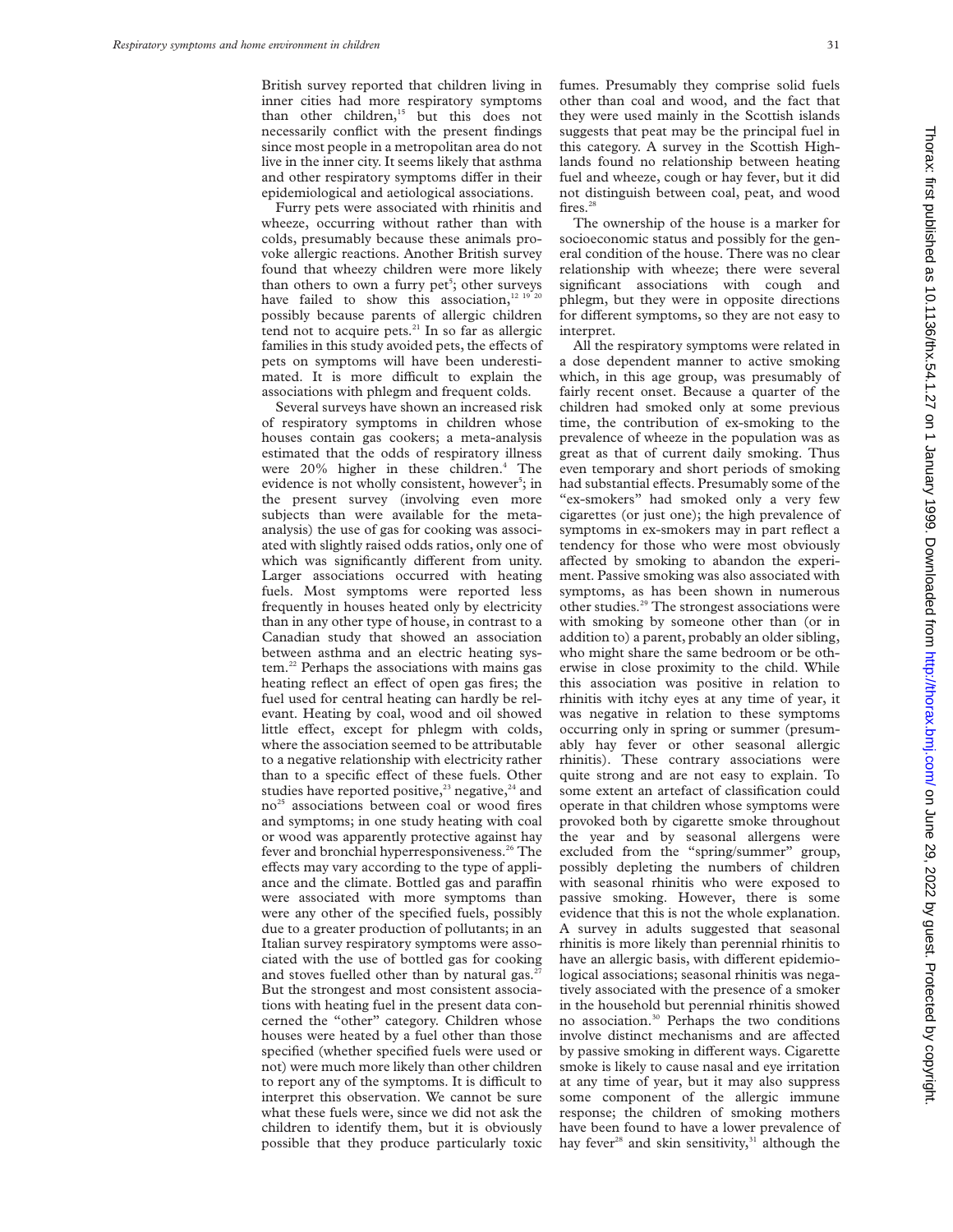British survey reported that children living in inner cities had more respiratory symptoms than other children,<sup>15</sup> but this does not necessarily conflict with the present findings since most people in a metropolitan area do not live in the inner city. It seems likely that asthma and other respiratory symptoms differ in their epidemiological and aetiological associations.

Furry pets were associated with rhinitis and wheeze, occurring without rather than with colds, presumably because these animals provoke allergic reactions. Another British survey found that wheezy children were more likely than others to own a furry pet<sup>5</sup>; other surveys have failed to show this association, $12 19 20$ possibly because parents of allergic children tend not to acquire pets. $21$  In so far as allergic families in this study avoided pets, the effects of pets on symptoms will have been underestimated. It is more difficult to explain the associations with phlegm and frequent colds.

Several surveys have shown an increased risk of respiratory symptoms in children whose houses contain gas cookers; a meta-analysis estimated that the odds of respiratory illness were 20% higher in these children.<sup>4</sup> The evidence is not wholly consistent, however<sup>5</sup>; in the present survey (involving even more subjects than were available for the metaanalysis) the use of gas for cooking was associated with slightly raised odds ratios, only one of which was significantly different from unity. Larger associations occurred with heating fuels. Most symptoms were reported less frequently in houses heated only by electricity than in any other type of house, in contrast to a Canadian study that showed an association between asthma and an electric heating system.<sup>22</sup> Perhaps the associations with mains gas heating reflect an effect of open gas fires; the fuel used for central heating can hardly be relevant. Heating by coal, wood and oil showed little effect, except for phlegm with colds, where the association seemed to be attributable to a negative relationship with electricity rather than to a specific effect of these fuels. Other studies have reported positive,<sup>23</sup> negative,<sup>24</sup> and no25 associations between coal or wood fires and symptoms; in one study heating with coal or wood was apparently protective against hay fever and bronchial hyperresponsiveness.<sup>26</sup> The effects may vary according to the type of appliance and the climate. Bottled gas and paraffin were associated with more symptoms than were any other of the specified fuels, possibly due to a greater production of pollutants; in an Italian survey respiratory symptoms were associated with the use of bottled gas for cooking and stoves fuelled other than by natural gas.<sup>2</sup> But the strongest and most consistent associations with heating fuel in the present data concerned the "other" category. Children whose houses were heated by a fuel other than those specified (whether specified fuels were used or not) were much more likely than other children to report any of the symptoms. It is difficult to interpret this observation. We cannot be sure what these fuels were, since we did not ask the children to identify them, but it is obviously possible that they produce particularly toxic

fumes. Presumably they comprise solid fuels other than coal and wood, and the fact that they were used mainly in the Scottish islands suggests that peat may be the principal fuel in this category. A survey in the Scottish Highlands found no relationship between heating fuel and wheeze, cough or hay fever, but it did not distinguish between coal, peat, and wood fires. $28$ 

The ownership of the house is a marker for socioeconomic status and possibly for the general condition of the house. There was no clear relationship with wheeze; there were several significant associations with cough and phlegm, but they were in opposite directions for different symptoms, so they are not easy to interpret.

All the respiratory symptoms were related in a dose dependent manner to active smoking which, in this age group, was presumably of fairly recent onset. Because a quarter of the children had smoked only at some previous time, the contribution of ex-smoking to the prevalence of wheeze in the population was as great as that of current daily smoking. Thus even temporary and short periods of smoking had substantial effects. Presumably some of the "ex-smokers" had smoked only a very few cigarettes (or just one); the high prevalence of symptoms in ex-smokers may in part reflect a tendency for those who were most obviously affected by smoking to abandon the experiment. Passive smoking was also associated with symptoms, as has been shown in numerous other studies.29 The strongest associations were with smoking by someone other than (or in addition to) a parent, probably an older sibling, who might share the same bedroom or be otherwise in close proximity to the child. While this association was positive in relation to rhinitis with itchy eyes at any time of year, it was negative in relation to these symptoms occurring only in spring or summer (presumably hay fever or other seasonal allergic rhinitis). These contrary associations were quite strong and are not easy to explain. To some extent an artefact of classification could operate in that children whose symptoms were provoked both by cigarette smoke throughout the year and by seasonal allergens were excluded from the "spring/summer" group, possibly depleting the numbers of children with seasonal rhinitis who were exposed to passive smoking. However, there is some evidence that this is not the whole explanation. A survey in adults suggested that seasonal rhinitis is more likely than perennial rhinitis to have an allergic basis, with different epidemiological associations; seasonal rhinitis was negatively associated with the presence of a smoker in the household but perennial rhinitis showed no association.<sup>30</sup> Perhaps the two conditions involve distinct mechanisms and are affected by passive smoking in different ways. Cigarette smoke is likely to cause nasal and eye irritation at any time of year, but it may also suppress some component of the allergic immune response; the children of smoking mothers have been found to have a lower prevalence of hay fever<sup>28</sup> and skin sensitivity, $31$  although the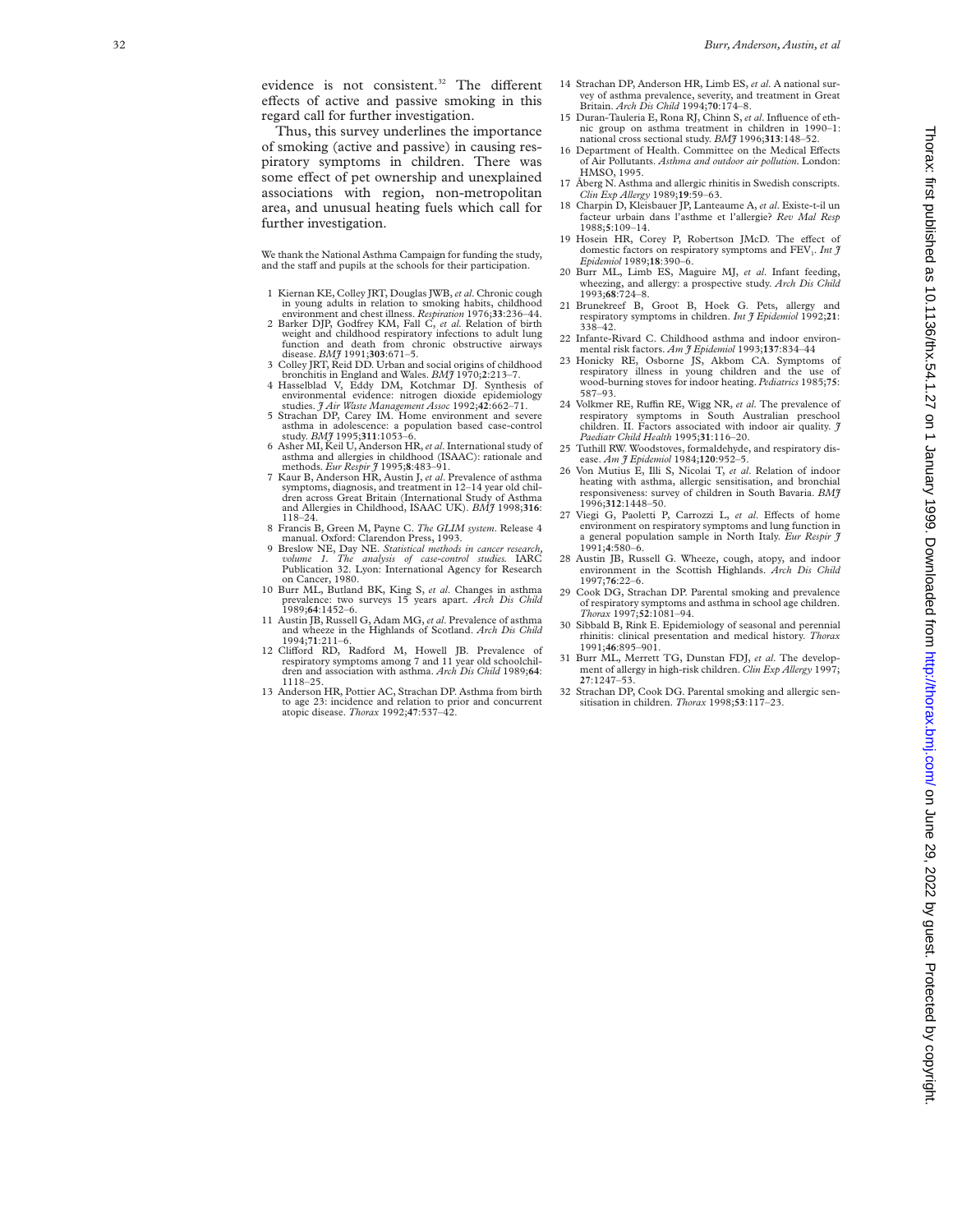evidence is not consistent.<sup>32</sup> The different effects of active and passive smoking in this regard call for further investigation.

Thus, this survey underlines the importance of smoking (active and passive) in causing respiratory symptoms in children. There was some effect of pet ownership and unexplained associations with region, non-metropolitan area, and unusual heating fuels which call for further investigation.

We thank the National Asthma Campaign for funding the study, and the staff and pupils at the schools for their participation.

- 1 Kiernan KE, Colley JRT, Douglas JWB,*et al*. Chronic cough in young adults in relation to smoking habits, childhood environment and chest illness. *Respiration* 1976;**33**:236–44.
- 2 Barker DJP, Godfrey KM, Fall C, *et al.* Relation of birth weight and childhood respiratory infections to adult lung function and death from chronic obstructive airways disease. *BMJ* 1991;**303**:671–5.
- 3 Colley JRT, Reid DD. Urban and social origins of childhood bronchitis in England and Wales. *BMJ* 1970;
- **<sup>2</sup>**:213–7. 4 Hasselblad V, Eddy DM, Kotchmar DJ. Synthesis of environmental evidence: nitrogen dioxide epidemiology<br>studies. *J Air Waste Management Assoc* 1992;42:662–71.<br>5 Strachan DP, Carey IM. Home environment and severe
- asthma in adolescence: a population based case-control study. *BMJ* 1995;**311**:1053–6.
- 6 Asher MI, Keil U, Anderson HR,*et al*. International study of asthma and allergies in childhood (ISAAC): rationale and
- methods. *Eur Respir J* 1995;8:483-91.<br>7 Kaur B, Anderson HR, Austin J, *et al.* Prevalence of asthma symptoms, diagnosis, and treatment in 12–14 year old chil-dren across Great Britain (International Study of Asthma and Allergies in Childhood, ISAAC UK). *BMJ* 1998;**316** : 118–24.
- 8 Francis B, Green M, Payne C. *The GLIM system*. Release 4
- manual. Oxford: Clarendon Press, 1993. 9 Breslow NE, Day NE. *Statistical methods in cancer research, volume 1. The analysis of case-control studies.* IARC Publication 32. Lyon: International Agency for Research
- on Cancer, 1980. 10 Burr ML, Butland BK, King S, *et al*. Changes in asthma prevalence: two surveys 15 years apart. *Arch Dis Child* 1989;**64**:1452–6.
- 11 Austin JB, Russell G, Adam MG,*et al*. Prevalence of asthma and wheeze in the Highlands of Scotland. *Arch Dis Child* 1994;**71**:211–6.
- 12 Cli Vord RD, Radford M, Howell JB. Prevalence of respiratory symptoms among 7 and 11 year old schoolchil-dren and association with asthma. *Arch Dis Child* 1989;**64**: 1118–25. 13 Anderson HR, Pottier AC, Strachan DP. Asthma from birth
- to age 23: incidence and relation to prior and concurrent atopic disease. *Thorax* 1992;**47**:537–42.
- 14 Strachan DP, Anderson HR, Limb ES, *et al*. A national survey of asthma prevalence, severity, and treatment in Great Britain. *Arch Dis Child* 1994;**70**:174–8.
- 15 Duran-Tauleria E, Rona RJ, Chinn S,*et al*. Influence of ethnic group on asthma treatment in children in 1990–1: national cross sectional study. *BMJ* 1996;**313**:148–52.
- 16 Department of Health. Committee on the Medical Effects of Air Pollutants. *Asthma and outdoor air pollution.* London: HMSO, 1995.
- 17 Åberg N. Asthma and allergic rhinitis in Swedish conscripts. *Clin Exp Allergy* 1989;**19**:59–63. 18 Charpin D, Kleisbauer JP, Lanteaume A, *et al*. Existe-t-il un
- facteur urbain dans l'asthme et l'allergie? *Rev Mal Resp* 1988; **5**:109–14.
- 19 Hosein HR, Corey P, Robertson JMcD. The effect of domestic factors on respiratory symptoms and FEV 1 . *Int J Epidemiol* 1989;**18**:390–6.
- 20 Burr ML, Limb ES, Maguire MJ, *et al*. Infant feeding, wheezing, and allergy: a prospective study. *Arch Dis Child* 1993;**68**:724–8.
- 21 Brunekreef B, Groot B, Hoek G. Pets, allergy and respiratory symptoms in children. *Int J Epidemiol* 1992;**21** : 338–42.
- 22 Infante-Rivard C. Childhood asthma and indoor environmental risk factors. *Am J Epidemiol* 1993;**137**:834–44
- 23 Honicky RE, Osborne JS, Akbom CA. Symptoms of respiratory illness in young children and the use of wood-burning stoves for indoor heating. *Pediatrics* 1985;**75** : 587–93.
- 24 Volkmer RE, Ruffin RE, Wigg NR, *et al*. The prevalence of respiratory symptoms in South Australian preschool children. II. Factors associated with indoor air quality. *J Paediatr Child Health* 1995;**31**:116–20.
- 25 Tuthill RW. Woodstoves, formaldehyde, and respiratory disease. *Am J Epidemiol* 1984;**120**:952–5.
- 26 Von Mutius E, Illi S, Nicolai T, *et al*. Relation of indoor heating with asthma, allergic sensitisation, and bronchial responsiveness: survey of children in South Bavaria. *BMJ* 1996;**312**:1448–50.
- 27 Viegi G, Paoletti P, Carrozzi L, et al. Effects of home environment on respiratory symptoms and lung function in a general population sample in North Italy. *Eur Respir J* 1991; **4**:580–6.
- 28 Austin JB, Russell G. Wheeze, cough, atopy, and indoor environment in the Scottish Highlands. *Arch Dis Child* 1997;**76**:22–6.
- 29 Cook DG, Strachan DP. Parental smoking and prevalence of respiratory symptoms and asthma in school age children. *Thorax* 1997;**52**:1081–94.
- 30 Sibbald B, Rink E. Epidemiology of seasonal and perennial rhinitis: clinical presentation and medical history. *Thorax* 1991;**46**:895–901.
- 31 Burr ML, Merrett TG, Dunstan FDJ, *et al*. The development of allergy in high-risk children. *Clin Exp Allergy* 1997; **27**:1247–53.
- 32 Strachan DP, Cook DG. Parental smoking and allergic sen-sitisation in children. *Thorax* 1998;**53**:117–23.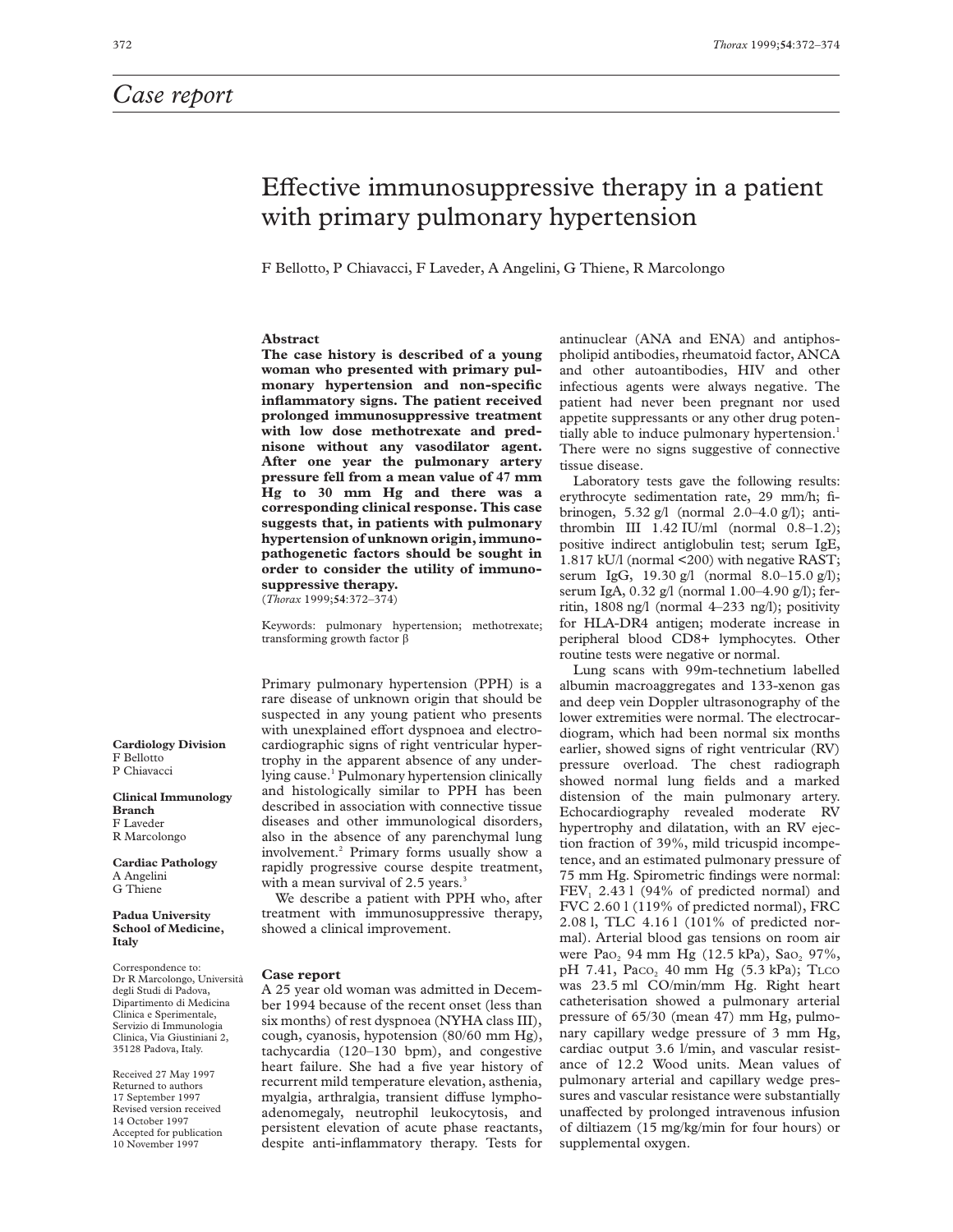# Effective immunosuppressive therapy in a patient with primary pulmonary hypertension

F Bellotto, P Chiavacci, F Laveder, A Angelini, G Thiene, R Marcolongo

#### **Abstract**

**The case history is described of a young woman who presented with primary pulmonary hypertension and non-specific inflammatory signs. The patient received prolonged immunosuppressive treatment with low dose methotrexate and prednisone without any vasodilator agent. After one year the pulmonary artery pressure fell from a mean value of 47 mm Hg to 30 mm Hg and there was a corresponding clinical response. This case suggests that, in patients with pulmonary hypertension of unknown origin, immunopathogenetic factors should be sought in order to consider the utility of immunosuppressive therapy.**

(*Thorax* 1999;**54**:372–374)

Keywords: pulmonary hypertension; methotrexate; transforming growth factor  $\beta$ 

Primary pulmonary hypertension (PPH) is a rare disease of unknown origin that should be suspected in any young patient who presents with unexplained effort dyspnoea and electrocardiographic signs of right ventricular hypertrophy in the apparent absence of any underlying cause.<sup>1</sup> Pulmonary hypertension clinically and histologically similar to PPH has been described in association with connective tissue diseases and other immunological disorders, also in the absence of any parenchymal lung involvement.2 Primary forms usually show a rapidly progressive course despite treatment, with a mean survival of  $2.5$  years.<sup>3</sup>

We describe a patient with PPH who, after treatment with immunosuppressive therapy, showed a clinical improvement.

#### **Case report**

A 25 year old woman was admitted in December 1994 because of the recent onset (less than six months) of rest dyspnoea (NYHA class III), cough, cyanosis, hypotension (80/60 mm Hg), tachycardia (120–130 bpm), and congestive heart failure. She had a five year history of recurrent mild temperature elevation, asthenia, myalgia, arthralgia, transient diffuse lymphoadenomegaly, neutrophil leukocytosis, and persistent elevation of acute phase reactants, despite anti-inflammatory therapy. Tests for antinuclear (ANA and ENA) and antiphospholipid antibodies, rheumatoid factor, ANCA and other autoantibodies, HIV and other infectious agents were always negative. The patient had never been pregnant nor used appetite suppressants or any other drug potentially able to induce pulmonary hypertension.<sup>1</sup> There were no signs suggestive of connective tissue disease.

Laboratory tests gave the following results: erythrocyte sedimentation rate, 29 mm/h; fibrinogen, 5.32 g/l (normal 2.0–4.0 g/l); antithrombin III  $1.42$  IU/ml (normal  $0.8-1.2$ ); positive indirect antiglobulin test; serum IgE, 1.817 kU/l (normal <200) with negative RAST; serum IgG, 19.30 g/l (normal 8.0–15.0 g/l); serum IgA, 0.32 g/l (normal 1.00–4.90 g/l); ferritin, 1808 ng/l (normal 4–233 ng/l); positivity for HLA-DR4 antigen; moderate increase in peripheral blood CD8+ lymphocytes. Other routine tests were negative or normal.

Lung scans with 99m-technetium labelled albumin macroaggregates and 133-xenon gas and deep vein Doppler ultrasonography of the lower extremities were normal. The electrocardiogram, which had been normal six months earlier, showed signs of right ventricular (RV) pressure overload. The chest radiograph showed normal lung fields and a marked distension of the main pulmonary artery. Echocardiography revealed moderate RV hypertrophy and dilatation, with an RV ejection fraction of 39%, mild tricuspid incompetence, and an estimated pulmonary pressure of 75 mm Hg. Spirometric findings were normal:  $FEV<sub>1</sub>$  2.43 l (94% of predicted normal) and FVC 2.60 l (119% of predicted normal), FRC 2.08 l, TLC 4.16 l (101% of predicted normal). Arterial blood gas tensions on room air were  $PaO_2$  94 mm Hg (12.5 kPa),  $SaO_2$  97%, pH 7.41, Paco<sub>2</sub> 40 mm Hg (5.3 kPa); TLCO was 23.5 ml CO/min/mm Hg. Right heart catheterisation showed a pulmonary arterial pressure of 65/30 (mean 47) mm Hg, pulmonary capillary wedge pressure of 3 mm Hg, cardiac output 3.6 l/min, and vascular resistance of 12.2 Wood units. Mean values of pulmonary arterial and capillary wedge pressures and vascular resistance were substantially unaffected by prolonged intravenous infusion of diltiazem (15 mg/kg/min for four hours) or supplemental oxygen.

**Cardiology Division** F Bellotto P Chiavacci

**Clinical Immunology Branch** F Laveder R Marcolongo

**Cardiac Pathology** A Angelini G Thiene

**Padua University School of Medicine, Italy**

Correspondence to: Dr R Marcolongo, Università degli Studi di Padova, Dipartimento di Medicina Clinica e Sperimentale, Servizio di Immunologia Clinica, Via Giustiniani 2, 35128 Padova, Italy.

Received 27 May 1997 Returned to authors 17 September 1997 Revised version received 14 October 1997 Accepted for publication 10 November 1997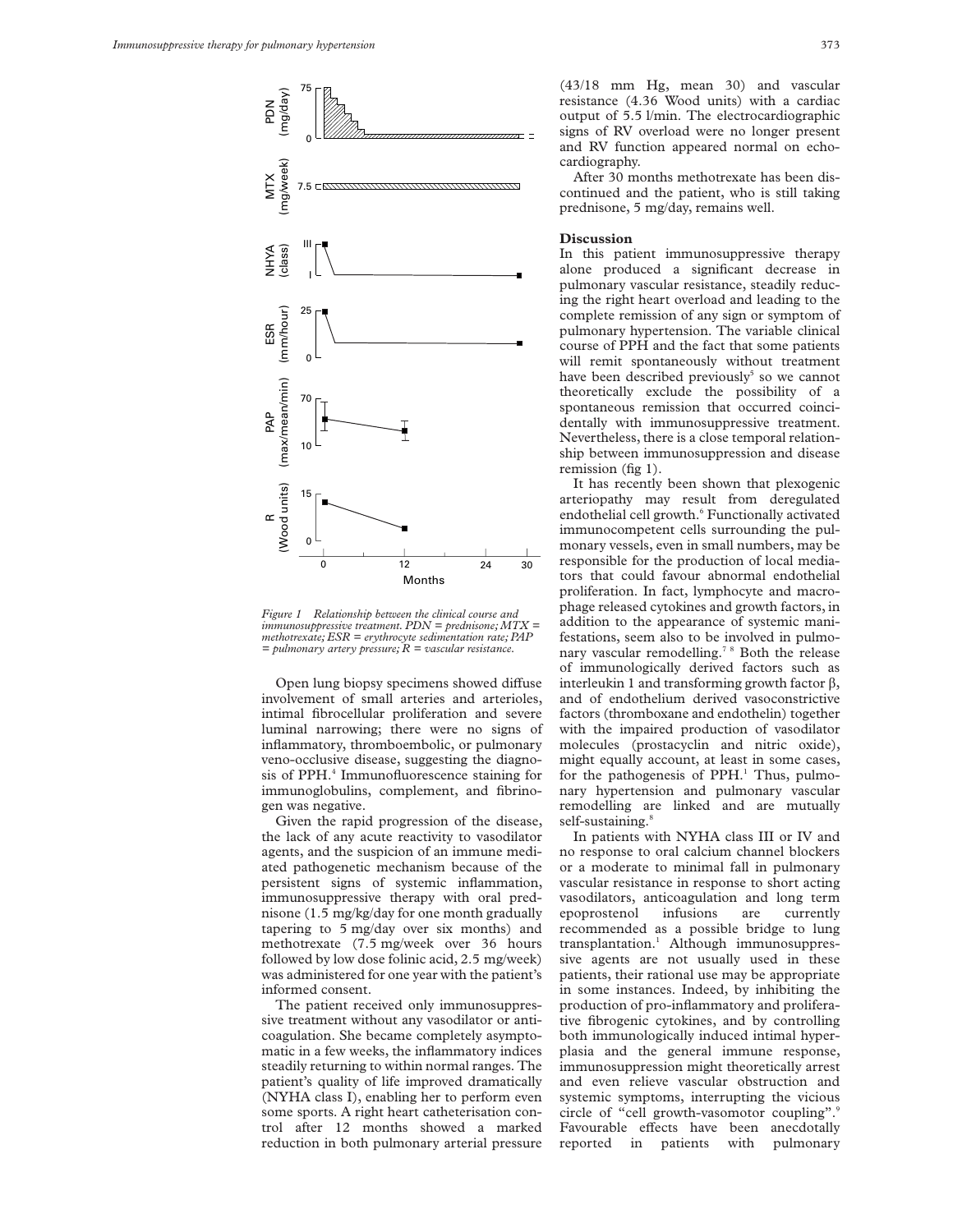

*Figure 1 Relationship between the clinical course and immunosuppressive treatment. PDN = prednisone; MTX = methotrexate; ESR = erythrocyte sedimentation rate; PAP = pulmonary artery pressure; R = vascular resistance.*

Open lung biopsy specimens showed diffuse involvement of small arteries and arterioles, intimal fibrocellular proliferation and severe luminal narrowing; there were no signs of inflammatory, thromboembolic, or pulmonary veno-occlusive disease, suggesting the diagnosis of PPH.<sup>4</sup> Immunofluorescence staining for immunoglobulins, complement, and fibrinogen was negative.

Given the rapid progression of the disease, the lack of any acute reactivity to vasodilator agents, and the suspicion of an immune mediated pathogenetic mechanism because of the persistent signs of systemic inflammation, immunosuppressive therapy with oral prednisone (1.5 mg/kg/day for one month gradually tapering to 5 mg/day over six months) and methotrexate (7.5 mg/week over 36 hours followed by low dose folinic acid, 2.5 mg/week) was administered for one year with the patient's informed consent.

The patient received only immunosuppressive treatment without any vasodilator or anticoagulation. She became completely asymptomatic in a few weeks, the inflammatory indices steadily returning to within normal ranges. The patient's quality of life improved dramatically (NYHA class I), enabling her to perform even some sports. A right heart catheterisation control after 12 months showed a marked reduction in both pulmonary arterial pressure (43/18 mm Hg, mean 30) and vascular resistance (4.36 Wood units) with a cardiac output of 5.5 l/min. The electrocardiographic signs of RV overload were no longer present and RV function appeared normal on echocardiography.

After 30 months methotrexate has been discontinued and the patient, who is still taking prednisone, 5 mg/day, remains well.

#### **Discussion**

In this patient immunosuppressive therapy alone produced a significant decrease in pulmonary vascular resistance, steadily reducing the right heart overload and leading to the complete remission of any sign or symptom of pulmonary hypertension. The variable clinical course of PPH and the fact that some patients will remit spontaneously without treatment have been described previously<sup>5</sup> so we cannot theoretically exclude the possibility of a spontaneous remission that occurred coincidentally with immunosuppressive treatment. Nevertheless, there is a close temporal relationship between immunosuppression and disease remission (fig 1).

It has recently been shown that plexogenic arteriopathy may result from deregulated endothelial cell growth.<sup>6</sup> Functionally activated immunocompetent cells surrounding the pulmonary vessels, even in small numbers, may be responsible for the production of local mediators that could favour abnormal endothelial proliferation. In fact, lymphocyte and macrophage released cytokines and growth factors, in addition to the appearance of systemic manifestations, seem also to be involved in pulmonary vascular remodelling.<sup>78</sup> Both the release of immunologically derived factors such as interleukin 1 and transforming growth factor  $\beta$ , and of endothelium derived vasoconstrictive factors (thromboxane and endothelin) together with the impaired production of vasodilator molecules (prostacyclin and nitric oxide), might equally account, at least in some cases, for the pathogenesis of  $PPH<sup>1</sup>$ . Thus, pulmonary hypertension and pulmonary vascular remodelling are linked and are mutually self-sustaining.<sup>8</sup>

In patients with NYHA class III or IV and no response to oral calcium channel blockers or a moderate to minimal fall in pulmonary vascular resistance in response to short acting vasodilators, anticoagulation and long term epoprostenol infusions are currently recommended as a possible bridge to lung transplantation.<sup>1</sup> Although immunosuppressive agents are not usually used in these patients, their rational use may be appropriate in some instances. Indeed, by inhibiting the production of pro-inflammatory and proliferative fibrogenic cytokines, and by controlling both immunologically induced intimal hyperplasia and the general immune response, immunosuppression might theoretically arrest and even relieve vascular obstruction and systemic symptoms, interrupting the vicious circle of "cell growth-vasomotor coupling".<sup>9</sup> Favourable effects have been anecdotally reported in patients with pulmonary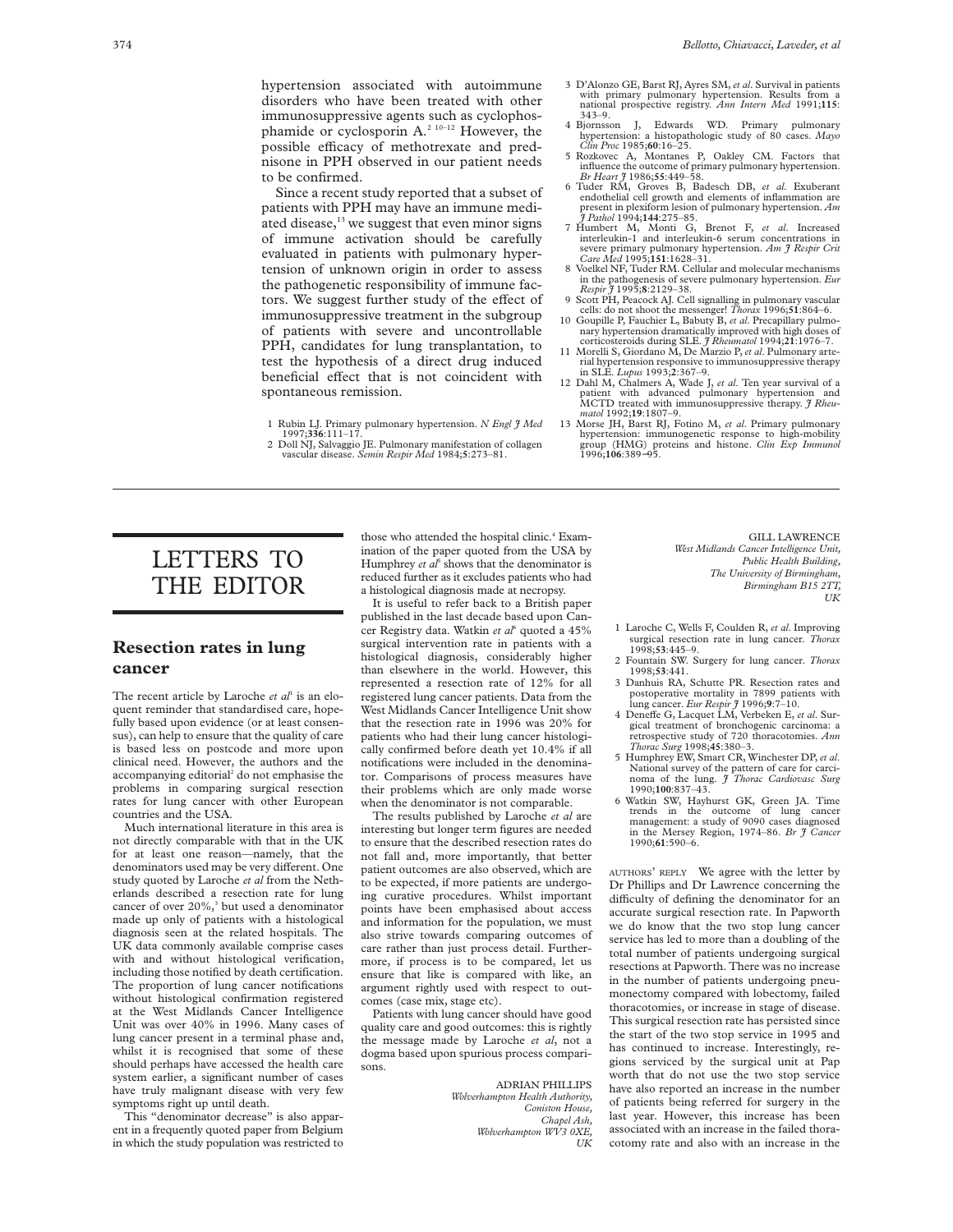hypertension associated with autoimmune disorders who have been treated with other immunosuppressive agents such as cyclophosphamide or cyclosporin  $A<sup>2 10–12</sup>$  However, the possible efficacy of methotrexate and prednisone in PPH observed in our patient needs to be confirmed.

Since a recent study reported that a subset of patients with PPH may have an immune mediated disease,<sup>13</sup> we suggest that even minor signs of immune activation should be carefully evaluated in patients with pulmonary hypertension of unknown origin in order to assess the pathogenetic responsibility of immune factors. We suggest further study of the effect of immunosuppressive treatment in the subgroup of patients with severe and uncontrollable PPH, candidates for lung transplantation, to test the hypothesis of a direct drug induced beneficial effect that is not coincident with spontaneous remission.

- 1 Rubin LJ. Primary pulmonary hypertension. *N Engl J Med* 1997;**336**:111–17.
- 2 Doll NJ, Salvaggio JE. Pulmonary manifestation of collagen vascular disease. *Semin Respir Med* 1984;**5**:273–81.
- 3 D'Alonzo GE, Barst RJ, Ayres SM,*et al*. Survival in patients with primary pulmonary hypertension. Results from a national prospective registry. *Ann Intern Med* 1991;**115**:
- $343-9.$ <br>4 Biornsson J, Edwards WD. Primary pulmonary hypertension: a histopathologic study of 80 cases. *Mayo Clin Proc* 1985;**60**:16–25.
- 5 Rozkovec A, Montanes P, Oakley CM. Factors that influence the outcome of primary pulmonary hypertension. *Br Heart J* 1986;**55**:449–58.
- 6 Tuder RM, Groves B, Badesch DB, *et al*. Exuberant endothelial cell growth and elements of inflammation are present in plexiform lesion of pulmonary hypertension. *Am J Pathol* 1994;**144**:275–85. 7 Humbert M, Monti G, Brenot F, *et al*. Increased
- interleukin-1 and interleukin-6 serum concentrations in severe primary pulmonary hypertension. *Am J Respir Crit Care Med* 1995;**151**:1628–31.
- 8 Voelkel NF, Tuder RM. Cellular and molecular mechanisms in the pathogenesis of severe pulmonary hypertension. *Eur Respir J* 1995;**8**:2129–38.
- Scott PH, Peacock AJ. Cell signalling in pulmonary vascular cells: do not shoot the messenger! *Thorax* 1996;**51**:864–6. 10 Goupille P, Fauchier L, Babuty B, *et al*. Precapillary pulmo-
- nary hypertension dramatically improved with high doses of corticosteroids during SLE. *J Rheumatol* 1994;**21**:1976–7.
- 11 Morelli S, Giordano M, De Marzio P,*et al*. Pulmonary arterial hypertension responsive to immunosuppressive therapy in SLE. *Lupus* 1993;**2**:367–9. 12 Dahl M, Chalmers A, Wade J, *et al*. Ten year survival of a
- patient with advanced pulmonary hypertension and MCTD treated with immunosuppressive therapy. *J Rheumatol* 1992;**19**:1807–9.
- 13 Morse JH, Barst RJ, Fotino M, *et al*. Primary pulmonary hypertension: immunogenetic response to high-mobility group (HMG) proteins and histone. *Clin Exp Immunol* 1996;**106**:389−95.

## LETTERS TO THE EDITOR

### **Resection rates in lung cancer**

The recent article by Laroche *et al*<sup>1</sup> is an eloquent reminder that standardised care, hopefully based upon evidence (or at least consensus), can help to ensure that the quality of care is based less on postcode and more upon clinical need. However, the authors and the accompanying editorial<sup>2</sup> do not emphasise the problems in comparing surgical resection rates for lung cancer with other European countries and the USA.

Much international literature in this area is not directly comparable with that in the UK for at least one reason—namely, that the denominators used may be very different. One study quoted by Laroche *et al* from the Netherlands described a resection rate for lung cancer of over 20%,<sup>3</sup> but used a denominator made up only of patients with a histological diagnosis seen at the related hospitals. The UK data commonly available comprise cases with and without histological verification, including those notified by death certification. The proportion of lung cancer notifications without histological confirmation registered at the West Midlands Cancer Intelligence Unit was over 40% in 1996. Many cases of lung cancer present in a terminal phase and, whilst it is recognised that some of these should perhaps have accessed the health care system earlier, a significant number of cases have truly malignant disease with very few symptoms right up until death.

This "denominator decrease" is also apparent in a frequently quoted paper from Belgium in which the study population was restricted to those who attended the hospital clinic.<sup>4</sup> Examination of the paper quoted from the USA by Humphrey *et*  $a^{\bar{p}}$  shows that the denominator is reduced further as it excludes patients who had a histological diagnosis made at necropsy.

It is useful to refer back to a British paper published in the last decade based upon Cancer Registry data. Watkin *et al*<sup>6</sup> quoted a 45% surgical intervention rate in patients with a histological diagnosis, considerably higher than elsewhere in the world. However, this represented a resection rate of 12% for all registered lung cancer patients. Data from the West Midlands Cancer Intelligence Unit show that the resection rate in 1996 was 20% for patients who had their lung cancer histologically confirmed before death yet 10.4% if all notifications were included in the denominator. Comparisons of process measures have their problems which are only made worse when the denominator is not comparable.

The results published by Laroche *et al* are interesting but longer term figures are needed to ensure that the described resection rates do not fall and, more importantly, that better patient outcomes are also observed, which are to be expected, if more patients are undergoing curative procedures. Whilst important points have been emphasised about access and information for the population, we must also strive towards comparing outcomes of care rather than just process detail. Furthermore, if process is to be compared, let us ensure that like is compared with like, an argument rightly used with respect to outcomes (case mix, stage etc).

Patients with lung cancer should have good quality care and good outcomes: this is rightly the message made by Laroche *et al*, not a dogma based upon spurious process comparisons.

> ADRIAN PHILLIPS *Wolverhampton Health Authority, Coniston House, Chapel Ash, Wolverhampton WV3 0XE, UK*

GILL LAWRENCE *West Midlands Cancer Intelligence Unit, Public Health Building, The University of Birmingham, Birmingham B15 2TT, UK*

- 1 Laroche C, Wells F, Coulden R, *et al*. Improving surgical resection rate in lung cancer. *Thorax* 1998;**53**:445–9.
- 2 Fountain SW. Surgery for lung cancer. *Thorax* 1998;**53**:441.
- 3 Danhuis RA, Schutte PR. Resection rates and postoperative mortality in 7899 patients with lung cancer. *Eur Respir J* 1996;**9**:7–10.
- 4 Deneffe G, Lacquet LM, Verbeken E, et al. Surgical treatment of bronchogenic carcinoma: a retrospective study of 720 thoracotomies. *Ann Thorac Surg* 1998;**45**:380–3.
- 5 Humphrey EW, Smart CR, Winchester DP,*et al*. National survey of the pattern of care for carci-noma of the lung. *J Thorac Cardiovasc Surg* 1990;**100**:837–43.
- 6 Watkin SW, Hayhurst GK, Green JA. Time trends in the outcome of lung cancer management: a study of 9090 cases diagnosed in the Mersey Region, 1974–86. *Br J Cancer* 1990;**61**:590–6.

AUTHORS' REPLY We agree with the letter by Dr Phillips and Dr Lawrence concerning the difficulty of defining the denominator for an accurate surgical resection rate. In Papworth we do know that the two stop lung cancer service has led to more than a doubling of the total number of patients undergoing surgical resections at Papworth. There was no increase in the number of patients undergoing pneumonectomy compared with lobectomy, failed thoracotomies, or increase in stage of disease. This surgical resection rate has persisted since the start of the two stop service in 1995 and has continued to increase. Interestingly, regions serviced by the surgical unit at Pap worth that do not use the two stop service have also reported an increase in the number of patients being referred for surgery in the last year. However, this increase has been associated with an increase in the failed thoracotomy rate and also with an increase in the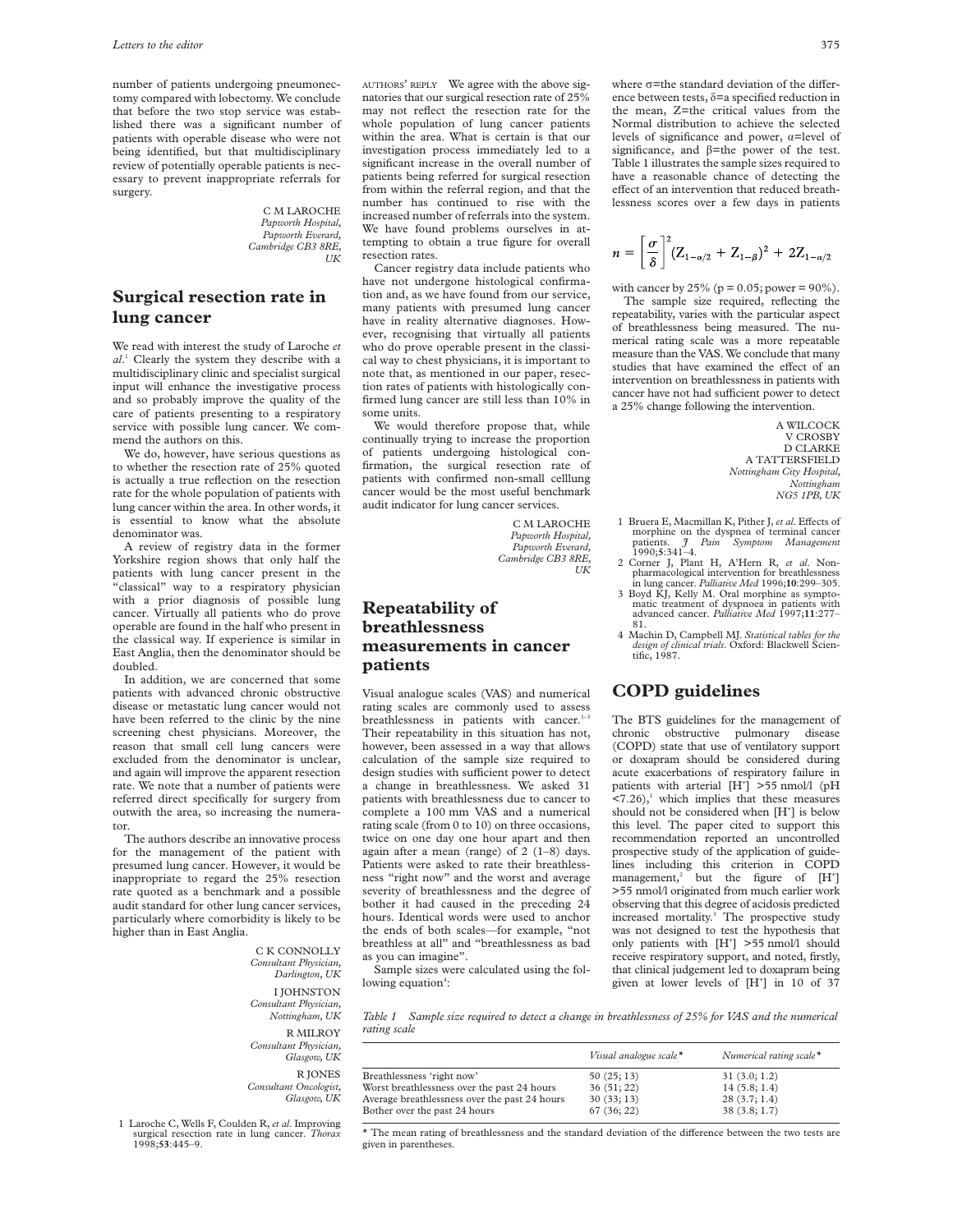number of patients undergoing pneumonectomy compared with lobectomy. We conclude that before the two stop service was established there was a significant number of patients with operable disease who were not being identified, but that multidisciplinary review of potentially operable patients is necessary to prevent inappropriate referrals for surgery.

> C M LAROCHE *Papworth Hospital, Papworth Everard, Cambridge CB3 8RE, UK*

### **Surgical resection rate in lung cancer**

We read with interest the study of Laroche *et al*. <sup>1</sup> Clearly the system they describe with a multidisciplinary clinic and specialist surgical input will enhance the investigative process and so probably improve the quality of the care of patients presenting to a respiratory service with possible lung cancer. We commend the authors on this.

We do, however, have serious questions as to whether the resection rate of 25% quoted is actually a true reflection on the resection rate for the whole population of patients with lung cancer within the area. In other words, it is essential to know what the absolute denominator was.

A review of registry data in the former Yorkshire region shows that only half the patients with lung cancer present in the "classical" way to a respiratory physician with a prior diagnosis of possible lung cancer. Virtually all patients who do prove operable are found in the half who present in the classical way. If experience is similar in East Anglia, then the denominator should be doubled.

In addition, we are concerned that some patients with advanced chronic obstructive disease or metastatic lung cancer would not have been referred to the clinic by the nine screening chest physicians. Moreover, the reason that small cell lung cancers were excluded from the denominator is unclear, and again will improve the apparent resection rate. We note that a number of patients were referred direct specifically for surgery from outwith the area, so increasing the numerator.

The authors describe an innovative process for the management of the patient with presumed lung cancer. However, it would be inappropriate to regard the 25% resection rate quoted as a benchmark and a possible audit standard for other lung cancer services, particularly where comorbidity is likely to be higher than in East Anglia.

> C K CONNOLLY *Consultant Physician, Darlington, UK* I JOHNSTON *Consultant Physician, Nottingham, UK* R MILROY *Consultant Physician, Glasgow, UK* R JONES *Consultant Oncologist,*

*Glasgow, UK*

1 Laroche C, Wells F, Coulden R, *et al*. Improving surgical resection rate in lung cancer. *Thorax* 1998;**53**:445–9.

AUTHORS' REPLY We agree with the above signatories that our surgical resection rate of 25% may not reflect the resection rate for the whole population of lung cancer patients within the area. What is certain is that our investigation process immediately led to a significant increase in the overall number of patients being referred for surgical resection from within the referral region, and that the number has continued to rise with the increased number of referrals into the system. We have found problems ourselves in attempting to obtain a true figure for overall resection rates.

Cancer registry data include patients who have not undergone histological confirmation and, as we have found from our service, many patients with presumed lung cancer have in reality alternative diagnoses. However, recognising that virtually all patients who do prove operable present in the classical way to chest physicians, it is important to note that, as mentioned in our paper, resection rates of patients with histologically confirmed lung cancer are still less than 10% in some units.

We would therefore propose that, while continually trying to increase the proportion of patients undergoing histological confirmation, the surgical resection rate of patients with confirmed non-small celllung cancer would be the most useful benchmark audit indicator for lung cancer services.

> C M LAROCHE *Papworth Hospital, Papworth Everard, Cambridge CB3 8RE, UK*

### **Repeatability of breathlessness measurements in cancer patients**

Visual analogue scales (VAS) and numerical rating scales are commonly used to assess breathlessness in patients with cancer.<sup>1-3</sup>

Their repeatability in this situation has not, however, been assessed in a way that allows calculation of the sample size required to design studies with sufficient power to detect a change in breathlessness. We asked 31 patients with breathlessness due to cancer to complete a 100 mm VAS and a numerical rating scale (from 0 to 10) on three occasions, twice on one day one hour apart and then again after a mean (range) of 2 (1–8) days. Patients were asked to rate their breathlessness "right now" and the worst and average severity of breathlessness and the degree of bother it had caused in the preceding 24 hours. Identical words were used to anchor the ends of both scales—for example, "not breathless at all" and "breathlessness as bad as you can imagine".

Sample sizes were calculated using the fol-

lowing equation<sup>4</sup>:

where  $\sigma$ =the standard deviation of the difference between tests,  $\delta$ =a specified reduction in the mean, Z=the critical values from the Normal distribution to achieve the selected levels of significance and power,  $\alpha$ =level of significance, and  $\beta$ =the power of the test. Table 1 illustrates the sample sizes required to have a reasonable chance of detecting the effect of an intervention that reduced breathlessness scores over a few days in patients

$$
n = \left[\frac{\sigma}{\delta}\right]^2 (Z_{1-\alpha/2} + Z_{1-\beta})^2 + 2Z_{1-\alpha/2}
$$

with cancer by 25% ( $p = 0.05$ ; power = 90%). The sample size required, reflecting the repeatability, varies with the particular aspect of breathlessness being measured. The numerical rating scale was a more repeatable measure than the VAS. We conclude that many studies that have examined the effect of an intervention on breathlessness in patients with cancer have not had sufficient power to detect a 25% change following the intervention.

> A WILCOCK V CROSBY D CLARKE A TATTERSFIELD *Nottingham City Hospital, Nottingham NG5 1PB, UK*

- 1 Bruera E, Macmillan K, Pither J, et al. Effects of morphine on the dyspnea of terminal cancer patients. *J Pain Symptom Management* 1990;**5**:341–4.
- 2 Corner J, Plant H, A'Hern R, *et al*. Nonpharmacological intervention for breathlessness in lung cancer. *Palliative Med* 1996;**10**:299–305.
- 3 Boyd KJ, Kelly M. Oral morphine as symptomatic treatment of dyspnoea in patients with advanced cancer. *Palliative Med* 1997;**11**:277–
- 81. 4 Machin D, Campbell MJ. *Statistical tables for the design of clinical trials*. Oxford: Blackwell Scientific, 1987.

## **COPD guidelines**

The BTS guidelines for the management of chronic obstructive pulmonary disease (COPD) state that use of ventilatory support or doxapram should be considered during acute exacerbations of respiratory failure in patients with arterial [H<sup>+</sup>] >55 nmol/l (pH  $\langle 7.26 \rangle$ ,<sup>1</sup> which implies that these measures should not be considered when [H<sup>+</sup>] is below this level. The paper cited to support this recommendation reported an uncontrolled prospective study of the application of guidelines including this criterion in COPD management,<sup>2</sup> but the figure of  $[H^*]$ >55 nmol/l originated from much earlier work observing that this degree of acidosis predicted increased mortality.<sup>3</sup> The prospective study was not designed to test the hypothesis that only patients with [H<sup>+</sup>] > 55 nmol/l should receive respiratory support, and noted, firstly, that clinical judgement led to doxapram being given at lower levels of [H<sup>+</sup>] in 10 of 37

*Table 1 Sample size required to detect a change in breathlessness of 25% for VAS and the numerical rating scale*

|                                               | Visual analogue scale $*$ | Numerical rating scale $*$ |
|-----------------------------------------------|---------------------------|----------------------------|
| Breathlessness 'right now'                    | 50(25;13)                 | 31(3.0; 1.2)               |
| Worst breathlessness over the past 24 hours   | 36(51; 22)                | 14(5.8; 1.4)               |
| Average breathlessness over the past 24 hours | 30(33;13)                 | 28(3.7; 1.4)               |
| Bother over the past 24 hours                 | 67(36; 22)                | 38(3.8; 1.7)               |

\* The mean rating of breathlessness and the standard deviation of the difference between the two tests are given in parentheses.